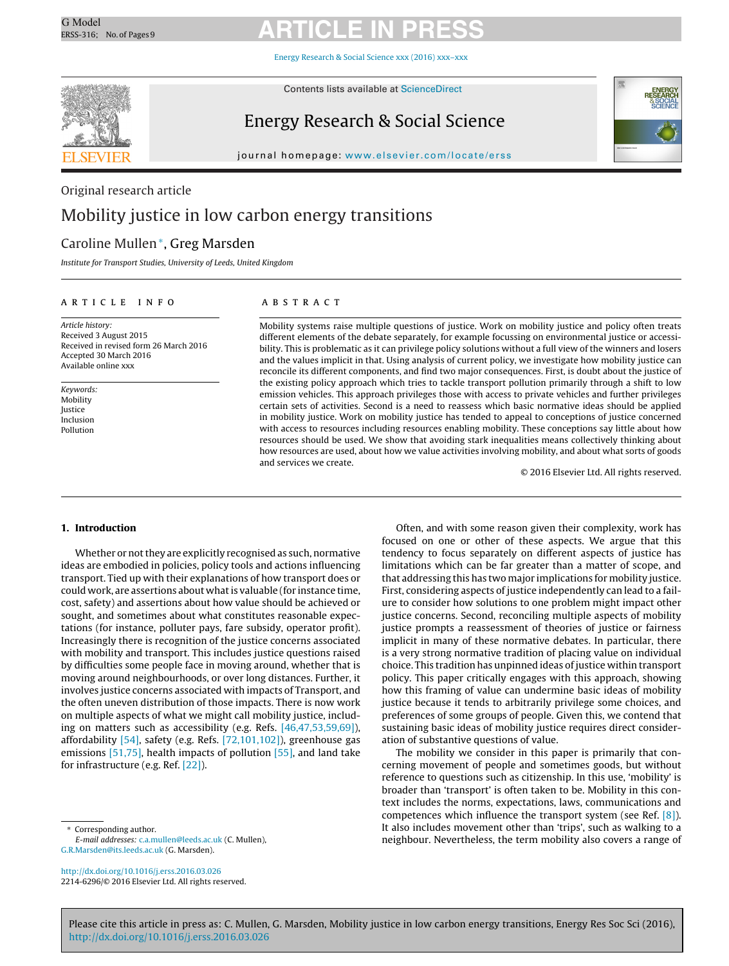Energy [Research](dx.doi.org/10.1016/j.erss.2016.03.026) & Social Science xxx (2016) xxx–xxx

<span id="page-0-0"></span>

Contents lists available at [ScienceDirect](http://www.sciencedirect.com/science/journal/00000000)

## Energy Research & Social Science



journal homepage: [www.elsevier.com/locate/erss](http://www.elsevier.com/locate/erss)

# Original research article Mobility justice in low carbon energy transitions

## Caroline Mullen∗, Greg Marsden

Institute for Transport Studies, University of Leeds, United Kingdom

### a r t i c l e i n f o

Article history: Received 3 August 2015 Received in revised form 26 March 2016 Accepted 30 March 2016 Available online xxx

Keywords: Mobility Justice Inclusion Pollution

### A B S T R A C T

Mobility systems raise multiple questions of justice. Work on mobility justice and policy often treats different elements of the debate separately, for example focussing on environmental justice or accessibility. This is problematic as it can privilege policy solutions without a full view of the winners and losers and the values implicit in that. Using analysis of current policy, we investigate how mobility justice can reconcile its different components, and find two major consequences. First, is doubt about the justice of the existing policy approach which tries to tackle transport pollution primarily through a shift to low emission vehicles. This approach privileges those with access to private vehicles and further privileges certain sets of activities. Second is a need to reassess which basic normative ideas should be applied in mobility justice. Work on mobility justice has tended to appeal to conceptions of justice concerned with access to resources including resources enabling mobility. These conceptions say little about how resources should be used. We show that avoiding stark inequalities means collectively thinking about how resources are used, about how we value activities involving mobility, and about what sorts of goods and services we create.

© 2016 Elsevier Ltd. All rights reserved.

### **1. Introduction**

Whether or not they are explicitly recognised as such, normative ideas are embodied in policies, policy tools and actions influencing transport. Tied up with their explanations of how transport does or could work, are assertions about what is valuable (for instance time, cost, safety) and assertions about how value should be achieved or sought, and sometimes about what constitutes reasonable expectations (for instance, polluter pays, fare subsidy, operator profit). Increasingly there is recognition of the justice concerns associated with mobility and transport. This includes justice questions raised by difficulties some people face in moving around, whether that is moving around neighbourhoods, or over long distances. Further, it involves justice concerns associated with impacts of Transport, and the often uneven distribution of those impacts. There is now work on multiple aspects of what we might call mobility justice, including on matters such as accessibility (e.g. Refs. [\[46,47,53,59,69\]\),](#page-7-0) affordability [\[54\],](#page-7-0) safety (e.g. Refs. [\[72,101,102\]\),](#page-8-0) greenhouse gas emissions [\[51,75\],](#page-7-0) health impacts of pollution [\[55\],](#page-7-0) and land take for infrastructure (e.g. Ref. [\[22\]\).](#page-7-0)

Corresponding author.

E-mail addresses: [c.a.mullen@leeds.ac.uk](mailto:c.a.mullen@leeds.ac.uk) (C. Mullen), [G.R.Marsden@its.leeds.ac.uk](mailto:G.R.Marsden@its.leeds.ac.uk) (G. Marsden).

[http://dx.doi.org/10.1016/j.erss.2016.03.026](dx.doi.org/10.1016/j.erss.2016.03.026) 2214-6296/© 2016 Elsevier Ltd. All rights reserved.

Often, and with some reason given their complexity, work has focused on one or other of these aspects. We argue that this tendency to focus separately on different aspects of justice has limitations which can be far greater than a matter of scope, and that addressing this has two major implications for mobility justice. First, considering aspects of justice independently can lead to a failure to consider how solutions to one problem might impact other justice concerns. Second, reconciling multiple aspects of mobility justice prompts a reassessment of theories of justice or fairness implicit in many of these normative debates. In particular, there is a very strong normative tradition of placing value on individual choice. This tradition has unpinned ideas of justice within transport policy. This paper critically engages with this approach, showing how this framing of value can undermine basic ideas of mobility justice because it tends to arbitrarily privilege some choices, and preferences of some groups of people. Given this, we contend that sustaining basic ideas of mobility justice requires direct consideration of substantive questions of value.

The mobility we consider in this paper is primarily that concerning movement of people and sometimes goods, but without reference to questions such as citizenship. In this use, 'mobility' is broader than 'transport' is often taken to be. Mobility in this context includes the norms, expectations, laws, communications and competences which influence the transport system (see Ref. [\[8\]\).](#page-7-0) It also includes movement other than 'trips', such as walking to a neighbour. Nevertheless, the term mobility also covers a range of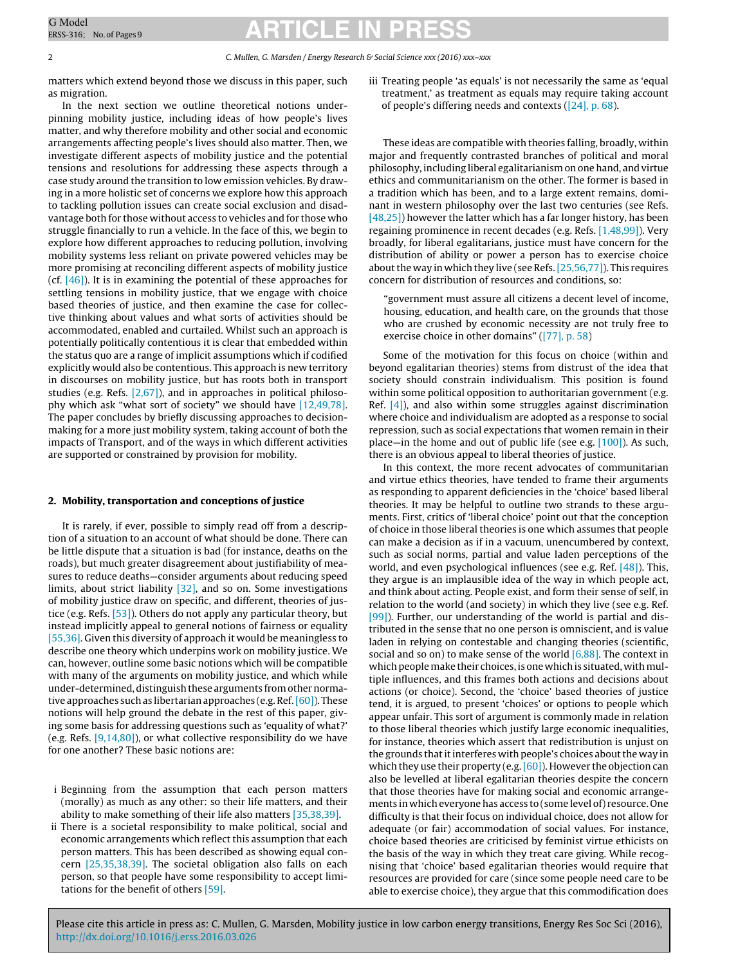2 C. Mullen, G. Marsden / Energy Research & Social Science xxx (2016) xxx–xxx

matters which extend beyond those we discuss in this paper, such as migration.

In the next section we outline theoretical notions underpinning mobility justice, including ideas of how people's lives matter, and why therefore mobility and other social and economic arrangements affecting people's lives should also matter. Then, we investigate different aspects of mobility justice and the potential tensions and resolutions for addressing these aspects through a case study around the transition to low emission vehicles. By drawing in a more holistic set of concerns we explore how this approach to tackling pollution issues can create social exclusion and disadvantage both for those without access to vehicles and for those who struggle financially to run a vehicle. In the face of this, we begin to explore how different approaches to reducing pollution, involving mobility systems less reliant on private powered vehicles may be more promising at reconciling different aspects of mobility justice (cf.  $[46]$ ). It is in examining the potential of these approaches for settling tensions in mobility justice, that we engage with choice based theories of justice, and then examine the case for collective thinking about values and what sorts of activities should be accommodated, enabled and curtailed. Whilst such an approach is potentially politically contentious it is clear that embedded within the status quo are a range of implicit assumptions which if codified explicitly would also be contentious. This approach is new territory in discourses on mobility justice, but has roots both in transport studies (e.g. Refs. [\[2,67\]\),](#page-7-0) and in approaches in political philosophy which ask "what sort of society" we should have [\[12,49,78\].](#page-7-0) The paper concludes by briefly discussing approaches to decisionmaking for a more just mobility system, taking account of both the impacts of Transport, and of the ways in which different activities are supported or constrained by provision for mobility.

#### **2. Mobility, transportation and conceptions of justice**

It is rarely, if ever, possible to simply read off from a description of a situation to an account of what should be done. There can be little dispute that a situation is bad (for instance, deaths on the roads), but much greater disagreement about justifiability of measures to reduce deaths—consider arguments about reducing speed limits, about strict liability [\[32\],](#page-7-0) and so on. Some investigations of mobility justice draw on specific, and different, theories of justice (e.g. Refs. [\[53\]\).](#page-7-0) Others do not apply any particular theory, but instead implicitly appeal to general notions of fairness or equality [\[55,36\].](#page-7-0) Given this diversity of approach it would be meaningless to describe one theory which underpins work on mobility justice. We can, however, outline some basic notions which will be compatible with many of the arguments on mobility justice, and which while under-determined, distinguish these arguments from other normative approaches such as libertarian approaches (e.g. Ref.  $[60]$ ). These notions will help ground the debate in the rest of this paper, giving some basis for addressing questions such as 'equality of what?' (e.g. Refs.  $[9,14,80]$ ), or what collective responsibility do we have for one another? These basic notions are:

- i Beginning from the assumption that each person matters (morally) as much as any other: so their life matters, and their ability to make something of their life also matters [\[35,38,39\].](#page-7-0)
- ii There is a societal responsibility to make political, social and economic arrangements which reflect this assumption that each person matters. This has been described as showing equal concern [\[25,35,38,39\].](#page-7-0) The societal obligation also falls on each person, so that people have some responsibility to accept limitations for the benefit of others [\[59\].](#page-7-0)

iii Treating people 'as equals' is not necessarily the same as 'equal treatment,' as treatment as equals may require taking account of people's differing needs and contexts [\(\[24\],](#page-7-0) [p.](#page-7-0) [68\).](#page-7-0)

These ideas are compatible with theories falling, broadly, within major and frequently contrasted branches of political and moral philosophy, including liberal egalitarianismon one hand, and virtue ethics and communitarianism on the other. The former is based in a tradition which has been, and to a large extent remains, dominant in western philosophy over the last two centuries (see Refs. [\[48,25\]\)](#page-7-0) however the latter which has a far longer history, has been regaining prominence in recent decades (e.g. Refs. [\[1,48,99\]\).](#page-7-0) Very broadly, for liberal egalitarians, justice must have concern for the distribution of ability or power a person has to exercise choice about the way in which they live (see Refs.  $[25,56,77]$ ). This requires concern for distribution of resources and conditions, so:

"government must assure all citizens a decent level of income, housing, education, and health care, on the grounds that those who are crushed by economic necessity are not truly free to exercise choice in other domains" [\(\[77\],](#page-8-0) [p.](#page-8-0) [58\)](#page-8-0)

Some of the motivation for this focus on choice (within and beyond egalitarian theories) stems from distrust of the idea that society should constrain individualism. This position is found within some political opposition to authoritarian government (e.g. Ref. [\[4\]\),](#page-7-0) and also within some struggles against discrimination where choice and individualism are adopted as a response to social repression, such as social expectations that women remain in their place—in the home and out of public life (see e.g. [\[100\]\).](#page-8-0) As such, there is an obvious appeal to liberal theories of justice.

In this context, the more recent advocates of communitarian and virtue ethics theories, have tended to frame their arguments as responding to apparent deficiencies in the 'choice' based liberal theories. It may be helpful to outline two strands to these arguments. First, critics of 'liberal choice' point out that the conception of choice in those liberal theories is one which assumes that people can make a decision as if in a vacuum, unencumbered by context, such as social norms, partial and value laden perceptions of the world, and even psychological influences (see e.g. Ref.  $[48]$ ). This, they argue is an implausible idea of the way in which people act, and think about acting. People exist, and form their sense of self, in relation to the world (and society) in which they live (see e.g. Ref. [\[99\]\).](#page-8-0) Further, our understanding of the world is partial and distributed in the sense that no one person is omniscient, and is value laden in relying on contestable and changing theories (scientific, social and so on) to make sense of the world  $[6,88]$ . The context in which people make their choices, is one which is situated, with multiple influences, and this frames both actions and decisions about actions (or choice). Second, the 'choice' based theories of justice tend, it is argued, to present 'choices' or options to people which appear unfair. This sort of argument is commonly made in relation to those liberal theories which justify large economic inequalities, for instance, theories which assert that redistribution is unjust on the grounds that it interferes with people's choices about the way in which they use their property (e.g.  $[60]$ ). However the objection can also be levelled at liberal egalitarian theories despite the concern that those theories have for making social and economic arrangements in which everyone has access to (some level of) resource. One difficulty is that their focus on individual choice, does not allow for adequate (or fair) accommodation of social values. For instance, choice based theories are criticised by feminist virtue ethicists on the basis of the way in which they treat care giving. While recognising that 'choice' based egalitarian theories would require that resources are provided for care (since some people need care to be able to exercise choice), they argue that this commodification does

<span id="page-1-0"></span>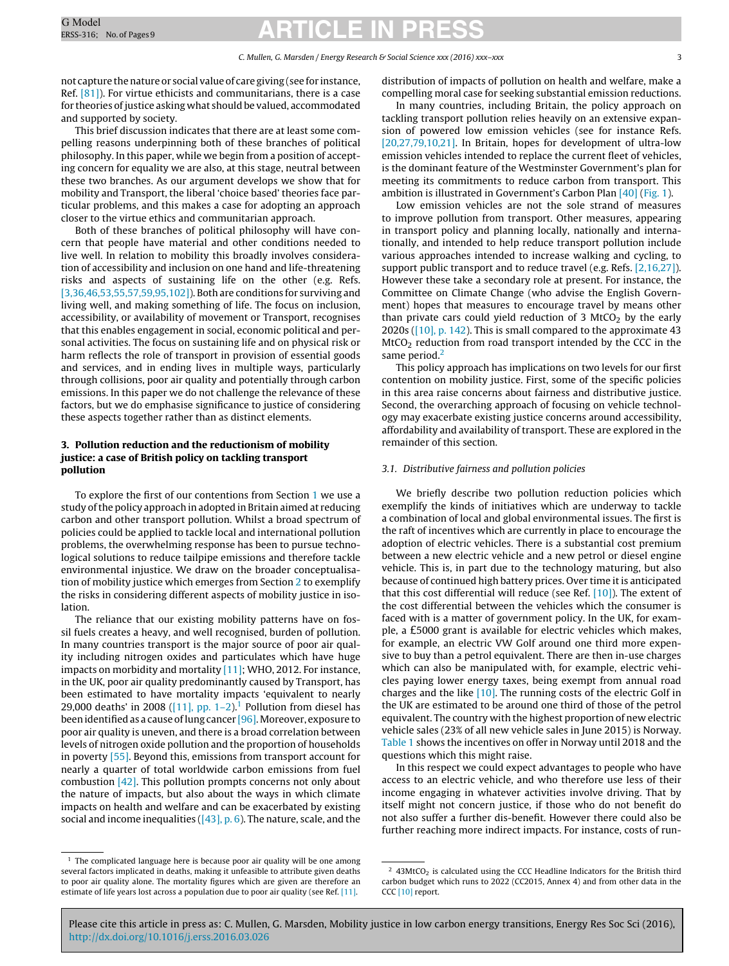#### C. Mullen, G. Marsden / Energy Research & Social Science xxx (2016) xxx–xxx 3

<span id="page-2-0"></span>not capture thenature or social value of care giving (see for instance, Ref. [\[81\]\).](#page-8-0) For virtue ethicists and communitarians, there is a case for theories ofjustice asking what should be valued, accommodated and supported by society.

This brief discussion indicates that there are at least some compelling reasons underpinning both of these branches of political philosophy. In this paper, while we begin from a position of accepting concern for equality we are also, at this stage, neutral between these two branches. As our argument develops we show that for mobility and Transport, the liberal 'choice based' theories face particular problems, and this makes a case for adopting an approach closer to the virtue ethics and communitarian approach.

Both of these branches of political philosophy will have concern that people have material and other conditions needed to live well. In relation to mobility this broadly involves consideration of accessibility and inclusion on one hand and life-threatening risks and aspects of sustaining life on the other (e.g. Refs. [\[3,36,46,53,55,57,59,95,102\]\).](#page-7-0) Both are conditions for surviving and living well, and making something of life. The focus on inclusion, accessibility, or availability of movement or Transport, recognises that this enables engagement in social, economic political and personal activities. The focus on sustaining life and on physical risk or harm reflects the role of transport in provision of essential goods and services, and in ending lives in multiple ways, particularly through collisions, poor air quality and potentially through carbon emissions. In this paper we do not challenge the relevance of these factors, but we do emphasise significance to justice of considering these aspects together rather than as distinct elements.

### **3. Pollution reduction and the reductionism of mobility justice: a case of British policy on tackling transport pollution**

To explore the first of our contentions from Section [1](#page-0-0) we use a study ofthe policy approach in adopted in Britain aimed at reducing carbon and other transport pollution. Whilst a broad spectrum of policies could be applied to tackle local and international pollution problems, the overwhelming response has been to pursue technological solutions to reduce tailpipe emissions and therefore tackle environmental injustice. We draw on the broader conceptualisation of mobility justice which emerges from Section [2](#page-1-0) to exemplify the risks in considering different aspects of mobility justice in isolation.

The reliance that our existing mobility patterns have on fossil fuels creates a heavy, and well recognised, burden of pollution. In many countries transport is the major source of poor air quality including nitrogen oxides and particulates which have huge impacts on morbidity and mortality [\[11\];](#page-7-0) WHO, 2012. For instance, in the UK, poor air quality predominantly caused by Transport, has been estimated to have mortality impacts 'equivalent to nearly 29,000 deaths' in 2008 ([\[11\],](#page-7-0) [pp.](#page-7-0) 1-2).<sup>1</sup> Pollution from diesel has beenidentified as a cause oflung cancer [\[96\].M](#page-8-0)oreover, exposure to poor air quality is uneven, and there is a broad correlation between levels of nitrogen oxide pollution and the proportion of households in poverty [\[55\].](#page-7-0) Beyond this, emissions from transport account for nearly a quarter of total worldwide carbon emissions from fuel combustion [\[42\].](#page-7-0) This pollution prompts concerns not only about the nature of impacts, but also about the ways in which climate impacts on health and welfare and can be exacerbated by existing social and income inequalities ( $[43]$ , [p.](#page-7-0) [6\).](#page-7-0) The nature, scale, and the

 $1$  The complicated language here is because poor air quality will be one among several factors implicated in deaths, making it unfeasible to attribute given deaths to poor air quality alone. The mortality figures which are given are therefore an estimate of life years lost across a population due to poor air quality (see Ref. [\[11\].](#page-7-0)

distribution of impacts of pollution on health and welfare, make a compelling moral case for seeking substantial emission reductions.

In many countries, including Britain, the policy approach on tackling transport pollution relies heavily on an extensive expansion of powered low emission vehicles (see for instance Refs. [\[20,27,79,10,21\].](#page-7-0) In Britain, hopes for development of ultra-low emission vehicles intended to replace the current fleet of vehicles, is the dominant feature of the Westminster Government's plan for meeting its commitments to reduce carbon from transport. This ambition is illustrated in Government's Carbon Plan [\[40\]](#page-7-0) [\(Fig.](#page-3-0) 1).

Low emission vehicles are not the sole strand of measures to improve pollution from transport. Other measures, appearing in transport policy and planning locally, nationally and internationally, and intended to help reduce transport pollution include various approaches intended to increase walking and cycling, to support public transport and to reduce travel (e.g. Refs. [\[2,16,27\]\).](#page-7-0) However these take a secondary role at present. For instance, the Committee on Climate Change (who advise the English Government) hopes that measures to encourage travel by means other than private cars could yield reduction of 3 MtCO<sub>2</sub> by the early 2020s [\(\[10\],](#page-7-0) [p.](#page-7-0) [142\).](#page-7-0) This is small compared to the approximate 43  $MtCO<sub>2</sub>$  reduction from road transport intended by the CCC in the same period.<sup>2</sup>

This policy approach has implications on two levels for our first contention on mobility justice. First, some of the specific policies in this area raise concerns about fairness and distributive justice. Second, the overarching approach of focusing on vehicle technology may exacerbate existing justice concerns around accessibility, affordability and availability of transport. These are explored in the remainder of this section.

### 3.1. Distributive fairness and pollution policies

We briefly describe two pollution reduction policies which exemplify the kinds of initiatives which are underway to tackle a combination of local and global environmental issues. The first is the raft of incentives which are currently in place to encourage the adoption of electric vehicles. There is a substantial cost premium between a new electric vehicle and a new petrol or diesel engine vehicle. This is, in part due to the technology maturing, but also because of continued high battery prices. Over time it is anticipated that this cost differential will reduce (see Ref. [\[10\]\).](#page-7-0) The extent of the cost differential between the vehicles which the consumer is faced with is a matter of government policy. In the UK, for example, a £5000 grant is available for electric vehicles which makes, for example, an electric VW Golf around one third more expensive to buy than a petrol equivalent. There are then in-use charges which can also be manipulated with, for example, electric vehicles paying lower energy taxes, being exempt from annual road charges and the like  $[10]$ . The running costs of the electric Golf in the UK are estimated to be around one third of those of the petrol equivalent. The country with the highest proportion of new electric vehicle sales (23% of all new vehicle sales in June 2015) is Norway. [Table](#page-3-0) 1 shows the incentives on offer in Norway until 2018 and the questions which this might raise.

In this respect we could expect advantages to people who have access to an electric vehicle, and who therefore use less of their income engaging in whatever activities involve driving. That by itself might not concern justice, if those who do not benefit do not also suffer a further dis-benefit. However there could also be further reaching more indirect impacts. For instance, costs of run-

 $2$  43MtCO<sub>2</sub> is calculated using the CCC Headline Indicators for the British third carbon budget which runs to 2022 (CC2015, Annex 4) and from other data in the CCC [\[10\]](#page-7-0) report.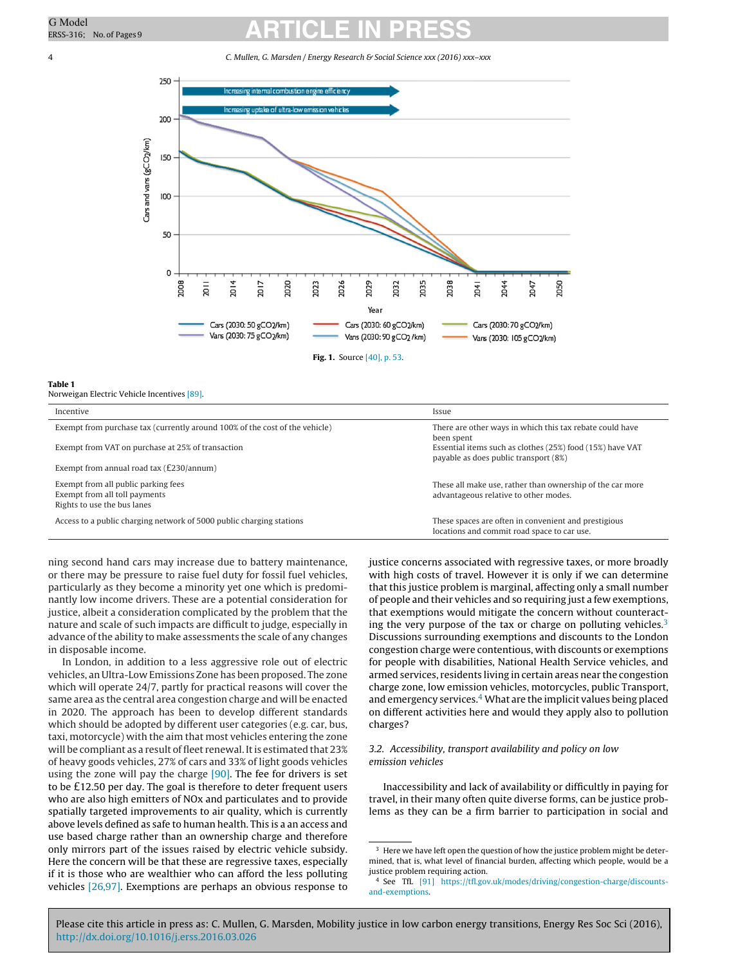<span id="page-3-0"></span>4 C. Mullen, G. Marsden / Energy Research & Social Science xxx (2016) xxx–xxx



#### **Table 1**

Norweigan Electric Vehicle Incentives [\[89\].](#page-8-0)

| Incentive                                                                                           | Issue                                                                                               |
|-----------------------------------------------------------------------------------------------------|-----------------------------------------------------------------------------------------------------|
| Exempt from purchase tax (currently around 100% of the cost of the vehicle)                         | There are other ways in which this tax rebate could have<br>been spent                              |
| Exempt from VAT on purchase at 25% of transaction                                                   | Essential items such as clothes (25%) food (15%) have VAT<br>payable as does public transport (8%)  |
| Exempt from annual road tax (£230/annum)                                                            |                                                                                                     |
| Exempt from all public parking fees<br>Exempt from all toll payments<br>Rights to use the bus lanes | These all make use, rather than ownership of the car more<br>advantageous relative to other modes.  |
| Access to a public charging network of 5000 public charging stations                                | These spaces are often in convenient and prestigious<br>locations and commit road space to car use. |

ning second hand cars may increase due to battery maintenance, or there may be pressure to raise fuel duty for fossil fuel vehicles, particularly as they become a minority yet one which is predominantly low income drivers. These are a potential consideration for justice, albeit a consideration complicated by the problem that the nature and scale of such impacts are difficult to judge, especially in advance of the ability to make assessments the scale of any changes in disposable income.

In London, in addition to a less aggressive role out of electric vehicles, an Ultra-Low Emissions Zone has been proposed. The zone which will operate 24/7, partly for practical reasons will cover the same area as the central area congestion charge and will be enacted in 2020. The approach has been to develop different standards which should be adopted by different user categories (e.g. car, bus, taxi, motorcycle) with the aim that most vehicles entering the zone will be compliant as a result of fleet renewal. It is estimated that 23% of heavy goods vehicles, 27% of cars and 33% of light goods vehicles using the zone will pay the charge [\[90\].](#page-8-0) The fee for drivers is set to be £12.50 per day. The goal is therefore to deter frequent users who are also high emitters of NOx and particulates and to provide spatially targeted improvements to air quality, which is currently above levels defined as safe to human health. This is a an access and use based charge rather than an ownership charge and therefore only mirrors part of the issues raised by electric vehicle subsidy. Here the concern will be that these are regressive taxes, especially if it is those who are wealthier who can afford the less polluting vehicles [\[26,97\].](#page-7-0) Exemptions are perhaps an obvious response to

justice concerns associated with regressive taxes, or more broadly with high costs of travel. However it is only if we can determine that this justice problem is marginal, affecting only a small number of people and their vehicles and so requiring just a few exemptions, that exemptions would mitigate the concern without counteracting the very purpose of the tax or charge on polluting vehicles.<sup>3</sup> Discussions surrounding exemptions and discounts to the London congestion charge were contentious, with discounts or exemptions for people with disabilities, National Health Service vehicles, and armed services, residents living in certain areas near the congestion charge zone, low emission vehicles, motorcycles, public Transport, and emergency services.<sup>4</sup> What are the implicit values being placed on different activities here and would they apply also to pollution charges?

### 3.2. Accessibility, transport availability and policy on low emission vehicles

Inaccessibility and lack of availability or difficultly in paying for travel, in their many often quite diverse forms, can be justice problems as they can be a firm barrier to participation in social and

 $^3\,$  Here we have left open the question of how the justice problem might be determined, that is, what level of financial burden, affecting which people, would be a justice problem requiring action.

<sup>4</sup> See TfL [\[91\]](#page-8-0) [https://tfl.gov.uk/modes/driving/congestion-charge/discounts](http://https://tfl.gov.uk/modes/driving/congestion-charge/discounts-and-exemptions)[and-exemptions.](http://https://tfl.gov.uk/modes/driving/congestion-charge/discounts-and-exemptions)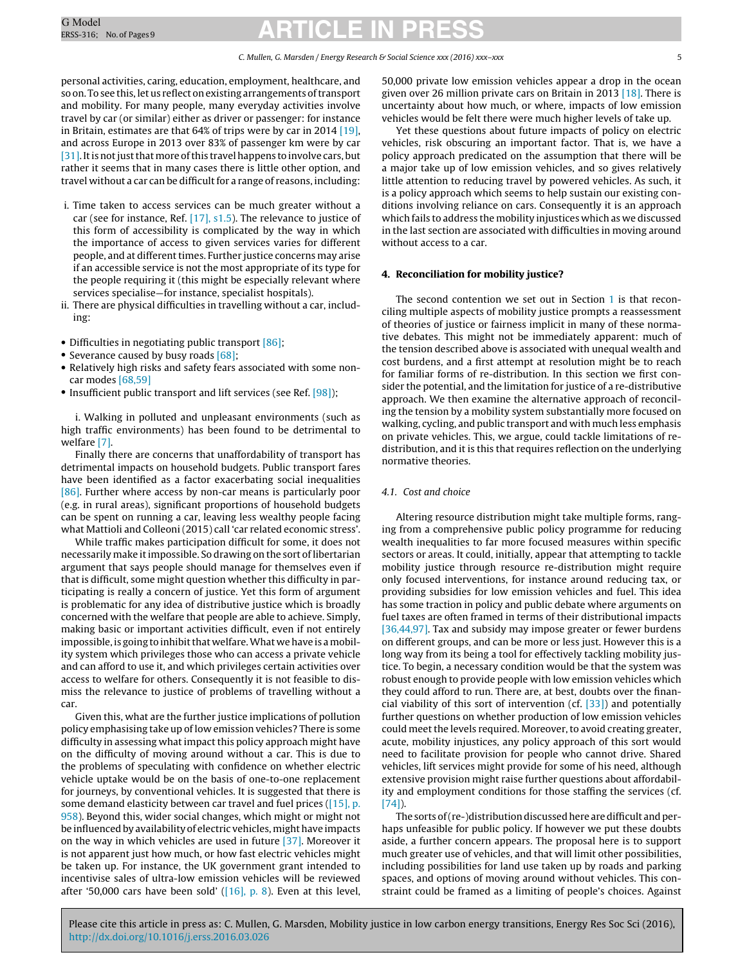#### C. Mullen, G. Marsden / Energy Research & Social Science xxx (2016) xxx–xxx 5

personal activities, caring, education, employment, healthcare, and so on. To see this, let us reflect on existing arrangements of transport and mobility. For many people, many everyday activities involve travel by car (or similar) either as driver or passenger: for instance in Britain, estimates are that 64% of trips were by car in 2014  $[19]$ , and across Europe in 2013 over 83% of passenger km were by car  $[31]$ . It is not just that more of this travel happens to involve cars, but rather it seems that in many cases there is little other option, and travel without a car can be difficult for a range of reasons, including:

- i. Time taken to access services can be much greater without a car (see for instance, Ref. [\[17\],](#page-7-0) [s1.5\).](#page-7-0) The relevance to justice of this form of accessibility is complicated by the way in which the importance of access to given services varies for different people, and at different times. Further justice concerns may arise if an accessible service is not the most appropriate of its type for the people requiring it (this might be especially relevant where services specialise—for instance, specialist hospitals).
- ii. There are physical difficulties in travelling without a car, including:
- Difficulties in negotiating public transport [\[86\];](#page-8-0)
- Severance caused by busy roads [\[68\];](#page-8-0)
- Relatively high risks and safety fears associated with some noncar modes [\[68,59\]](#page-8-0)
- Insufficient public transport and lift services (see Ref. [\[98\]\);](#page-8-0)

i. Walking in polluted and unpleasant environments (such as high traffic environments) has been found to be detrimental to welfare [\[7\].](#page-7-0)

Finally there are concerns that unaffordability of transport has detrimental impacts on household budgets. Public transport fares have been identified as a factor exacerbating social inequalities [\[86\].](#page-8-0) Further where access by non-car means is particularly poor (e.g. in rural areas), significant proportions of household budgets can be spent on running a car, leaving less wealthy people facing what Mattioli and Colleoni (2015) call 'car related economic stress'.

While traffic makes participation difficult for some, it does not necessarily make itimpossible. So drawing on the sort of libertarian argument that says people should manage for themselves even if that is difficult, some might question whether this difficulty in participating is really a concern of justice. Yet this form of argument is problematic for any idea of distributive justice which is broadly concerned with the welfare that people are able to achieve. Simply, making basic or important activities difficult, even if not entirely impossible, is going to inhibit that welfare. What we have is a mobility system which privileges those who can access a private vehicle and can afford to use it, and which privileges certain activities over access to welfare for others. Consequently it is not feasible to dismiss the relevance to justice of problems of travelling without a car.

Given this, what are the further justice implications of pollution policy emphasising take up of low emission vehicles? There is some difficulty in assessing what impact this policy approach might have on the difficulty of moving around without a car. This is due to the problems of speculating with confidence on whether electric vehicle uptake would be on the basis of one-to-one replacement for journeys, by conventional vehicles. It is suggested that there is some demand elasticity between car travel and fuel prices ([\[15\],](#page-7-0) [p.](#page-7-0) [958\).](#page-7-0) Beyond this, wider social changes, which might or might not be influenced by availability of electric vehicles, might have impacts on the way in which vehicles are used in future [\[37\].](#page-7-0) Moreover it is not apparent just how much, or how fast electric vehicles might be taken up. For instance, the UK government grant intended to incentivise sales of ultra-low emission vehicles will be reviewed after '50,000 cars have been sold'  $(16)$ , [p.](#page-7-0) [8\).](#page-7-0) Even at this level,

50,000 private low emission vehicles appear a drop in the ocean given over 26 million private cars on Britain in 2013 [\[18\].](#page-7-0) There is uncertainty about how much, or where, impacts of low emission vehicles would be felt there were much higher levels of take up.

Yet these questions about future impacts of policy on electric vehicles, risk obscuring an important factor. That is, we have a policy approach predicated on the assumption that there will be a major take up of low emission vehicles, and so gives relatively little attention to reducing travel by powered vehicles. As such, it is a policy approach which seems to help sustain our existing conditions involving reliance on cars. Consequently it is an approach which fails to address the mobility injustices which as we discussed in the last section are associated with difficulties in moving around without access to a car.

#### **4. Reconciliation for mobility justice?**

The second contention we set out in Section [1](#page-0-0) is that reconciling multiple aspects of mobility justice prompts a reassessment of theories of justice or fairness implicit in many of these normative debates. This might not be immediately apparent: much of the tension described above is associated with unequal wealth and cost burdens, and a first attempt at resolution might be to reach for familiar forms of re-distribution. In this section we first consider the potential, and the limitation for justice of a re-distributive approach. We then examine the alternative approach of reconciling the tension by a mobility system substantially more focused on walking, cycling, and public transport and with much less emphasis on private vehicles. This, we argue, could tackle limitations of redistribution, and it is this that requires reflection on the underlying normative theories.

### 4.1. Cost and choice

Altering resource distribution might take multiple forms, ranging from a comprehensive public policy programme for reducing wealth inequalities to far more focused measures within specific sectors or areas. It could, initially, appear that attempting to tackle mobility justice through resource re-distribution might require only focused interventions, for instance around reducing tax, or providing subsidies for low emission vehicles and fuel. This idea has some traction in policy and public debate where arguments on fuel taxes are often framed in terms of their distributional impacts [\[36,44,97\].](#page-7-0) Tax and subsidy may impose greater or fewer burdens on different groups, and can be more or less just. However this is a long way from its being a tool for effectively tackling mobility justice. To begin, a necessary condition would be that the system was robust enough to provide people with low emission vehicles which they could afford to run. There are, at best, doubts over the financial viability of this sort of intervention  $(cf, [33])$  $(cf, [33])$  and potentially further questions on whether production of low emission vehicles could meet the levels required. Moreover, to avoid creating greater, acute, mobility injustices, any policy approach of this sort would need to facilitate provision for people who cannot drive. Shared vehicles, lift services might provide for some of his need, although extensive provision might raise further questions about affordability and employment conditions for those staffing the services (cf. [\[74\]\).](#page-8-0)

The sorts of (re-)distribution discussed here are difficult and perhaps unfeasible for public policy. If however we put these doubts aside, a further concern appears. The proposal here is to support much greater use of vehicles, and that will limit other possibilities, including possibilities for land use taken up by roads and parking spaces, and options of moving around without vehicles. This constraint could be framed as a limiting of people's choices. Against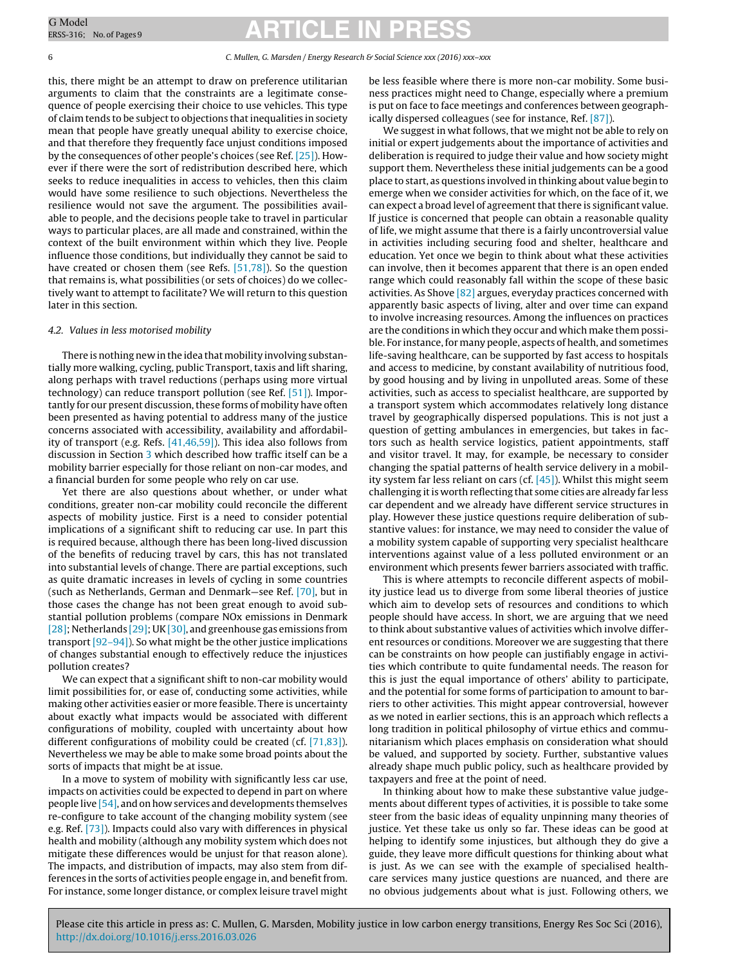6 C. Mullen, G. Marsden / Energy Research & Social Science xxx (2016) xxx–xxx

this, there might be an attempt to draw on preference utilitarian arguments to claim that the constraints are a legitimate consequence of people exercising their choice to use vehicles. This type of claim tends to be subject to objections that inequalities in society mean that people have greatly unequal ability to exercise choice, and that therefore they frequently face unjust conditions imposed by the consequences of other people's choices (see Ref. [\[25\]\).](#page-7-0) However if there were the sort of redistribution described here, which seeks to reduce inequalities in access to vehicles, then this claim would have some resilience to such objections. Nevertheless the resilience would not save the argument. The possibilities available to people, and the decisions people take to travel in particular ways to particular places, are all made and constrained, within the context of the built environment within which they live. People influence those conditions, but individually they cannot be said to have created or chosen them (see Refs. [\[51,78\]\).](#page-7-0) So the question that remains is, what possibilities (or sets of choices) do we collectively want to attempt to facilitate? We will return to this question later in this section.

#### 4.2. Values in less motorised mobility

There is nothing new in the idea that mobility involving substantially more walking, cycling, public Transport, taxis and lift sharing, along perhaps with travel reductions (perhaps using more virtual technology) can reduce transport pollution (see Ref. [\[51\]\).](#page-7-0) Importantly for our present discussion, these forms of mobility have often been presented as having potential to address many of the justice concerns associated with accessibility, availability and affordability of transport (e.g. Refs. [\[41,46,59\]\).](#page-7-0) This idea also follows from discussion in Section [3](#page-2-0) which described how traffic itself can be a mobility barrier especially for those reliant on non-car modes, and a financial burden for some people who rely on car use.

Yet there are also questions about whether, or under what conditions, greater non-car mobility could reconcile the different aspects of mobility justice. First is a need to consider potential implications of a significant shift to reducing car use. In part this is required because, although there has been long-lived discussion of the benefits of reducing travel by cars, this has not translated into substantial levels of change. There are partial exceptions, such as quite dramatic increases in levels of cycling in some countries (such as Netherlands, German and Denmark—see Ref. [\[70\],](#page-8-0) but in those cases the change has not been great enough to avoid substantial pollution problems (compare NOx emissions in Denmark [\[28\];](#page-7-0) Netherlands [\[29\];](#page-7-0) UK [\[30\],](#page-7-0) and greenhouse gas emissions from transport [\[92–94\]\).](#page-8-0) So what might be the other justice implications of changes substantial enough to effectively reduce the injustices pollution creates?

We can expect that a significant shift to non-car mobility would limit possibilities for, or ease of, conducting some activities, while making other activities easier or more feasible. There is uncertainty about exactly what impacts would be associated with different configurations of mobility, coupled with uncertainty about how different configurations of mobility could be created (cf. [\[71,83\]\).](#page-8-0) Nevertheless we may be able to make some broad points about the sorts of impacts that might be at issue.

In a move to system of mobility with significantly less car use, impacts on activities could be expected to depend in part on where people live [\[54\],](#page-7-0) and on how services and developments themselves re-configure to take account of the changing mobility system (see e.g. Ref. [\[73\]\).](#page-8-0) Impacts could also vary with differences in physical health and mobility (although any mobility system which does not mitigate these differences would be unjust for that reason alone). The impacts, and distribution of impacts, may also stem from differences in the sorts of activities people engage in, and benefit from. For instance, some longer distance, or complex leisure travel might

be less feasible where there is more non-car mobility. Some business practices might need to Change, especially where a premium is put on face to face meetings and conferences between geographically dispersed colleagues (see for instance, Ref. [\[87\]\).](#page-8-0)

We suggest in what follows, that we might not be able to rely on initial or expert judgements about the importance of activities and deliberation is required to judge their value and how society might support them. Nevertheless these initial judgements can be a good place to start, as questions involved in thinking about value begin to emerge when we consider activities for which, on the face of it, we can expect a broad level of agreement that there is significant value. If justice is concerned that people can obtain a reasonable quality of life, we might assume that there is a fairly uncontroversial value in activities including securing food and shelter, healthcare and education. Yet once we begin to think about what these activities can involve, then it becomes apparent that there is an open ended range which could reasonably fall within the scope of these basic activities. As Shove  $[82]$  argues, everyday practices concerned with apparently basic aspects of living, alter and over time can expand to involve increasing resources. Among the influences on practices are the conditions in which they occur and which make them possible. For instance, for many people, aspects of health, and sometimes life-saving healthcare, can be supported by fast access to hospitals and access to medicine, by constant availability of nutritious food, by good housing and by living in unpolluted areas. Some of these activities, such as access to specialist healthcare, are supported by a transport system which accommodates relatively long distance travel by geographically dispersed populations. This is not just a question of getting ambulances in emergencies, but takes in factors such as health service logistics, patient appointments, staff and visitor travel. It may, for example, be necessary to consider changing the spatial patterns of health service delivery in a mobility system far less reliant on cars (cf.  $[45]$ ). Whilst this might seem challenging it is worth reflecting that some cities are already far less car dependent and we already have different service structures in play. However these justice questions require deliberation of substantive values: for instance, we may need to consider the value of a mobility system capable of supporting very specialist healthcare interventions against value of a less polluted environment or an environment which presents fewer barriers associated with traffic.

This is where attempts to reconcile different aspects of mobility justice lead us to diverge from some liberal theories of justice which aim to develop sets of resources and conditions to which people should have access. In short, we are arguing that we need to think about substantive values of activities which involve different resources or conditions. Moreover we are suggesting that there can be constraints on how people can justifiably engage in activities which contribute to quite fundamental needs. The reason for this is just the equal importance of others' ability to participate, and the potential for some forms of participation to amount to barriers to other activities. This might appear controversial, however as we noted in earlier sections, this is an approach which reflects a long tradition in political philosophy of virtue ethics and communitarianism which places emphasis on consideration what should be valued, and supported by society. Further, substantive values already shape much public policy, such as healthcare provided by taxpayers and free at the point of need.

In thinking about how to make these substantive value judgements about different types of activities, it is possible to take some steer from the basic ideas of equality unpinning many theories of justice. Yet these take us only so far. These ideas can be good at helping to identify some injustices, but although they do give a guide, they leave more difficult questions for thinking about what is just. As we can see with the example of specialised healthcare services many justice questions are nuanced, and there are no obvious judgements about what is just. Following others, we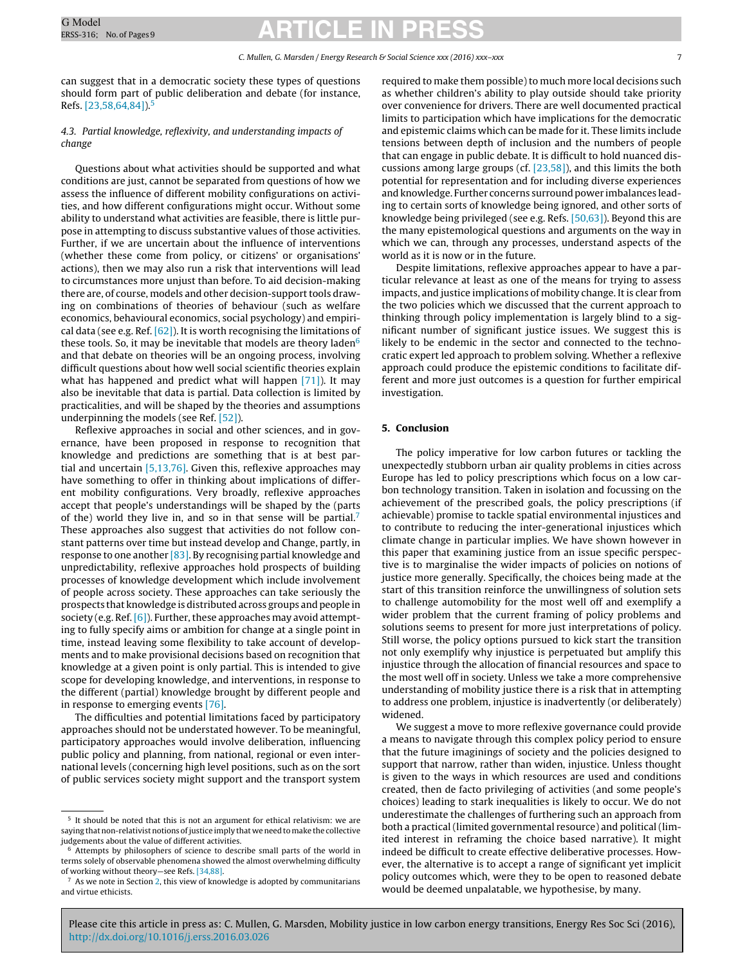can suggest that in a democratic society these types of questions should form part of public deliberation and debate (for instance, Refs. [23,58,64,84]).<sup>5</sup>

### 4.3. Partial knowledge, reflexivity, and understanding impacts of change

Questions about what activities should be supported and what conditions are just, cannot be separated from questions of how we assess the influence of different mobility configurations on activities, and how different configurations might occur. Without some ability to understand what activities are feasible, there is little purpose in attempting to discuss substantive values of those activities. Further, if we are uncertain about the influence of interventions (whether these come from policy, or citizens' or organisations' actions), then we may also run a risk that interventions will lead to circumstances more unjust than before. To aid decision-making there are, of course, models and other decision-support tools drawing on combinations of theories of behaviour (such as welfare economics, behavioural economics, social psychology) and empirical data (see e.g. Ref. [\[62\]\).](#page-7-0) It is worth recognising the limitations of these tools. So, it may be inevitable that models are theory laden $6$ and that debate on theories will be an ongoing process, involving difficult questions about how well social scientific theories explain what has happened and predict what will happen [\[71\]\).](#page-8-0) It may also be inevitable that data is partial. Data collection is limited by practicalities, and will be shaped by the theories and assumptions underpinning the models (see Ref. [\[52\]\).](#page-7-0)

Reflexive approaches in social and other sciences, and in governance, have been proposed in response to recognition that knowledge and predictions are something that is at best partial and uncertain [\[5,13,76\].](#page-7-0) Given this, reflexive approaches may have something to offer in thinking about implications of different mobility configurations. Very broadly, reflexive approaches accept that people's understandings will be shaped by the (parts of the) world they live in, and so in that sense will be partial.<sup>7</sup> These approaches also suggest that activities do not follow constant patterns over time but instead develop and Change, partly, in response to one another [\[83\].](#page-8-0) By recognising partial knowledge and unpredictability, reflexive approaches hold prospects of building processes of knowledge development which include involvement of people across society. These approaches can take seriously the prospects that knowledge is distributed across groups and people in society (e.g. Ref.  $[6]$ ). Further, these approaches may avoid attempting to fully specify aims or ambition for change at a single point in time, instead leaving some flexibility to take account of developments and to make provisional decisions based on recognition that knowledge at a given point is only partial. This is intended to give scope for developing knowledge, and interventions, in response to the different (partial) knowledge brought by different people and in response to emerging events [\[76\].](#page-8-0)

The difficulties and potential limitations faced by participatory approaches should not be understated however. To be meaningful, participatory approaches would involve deliberation, influencing public policy and planning, from national, regional or even international levels (concerning high level positions, such as on the sort of public services society might support and the transport system

required to make them possible) to much more local decisions such as whether children's ability to play outside should take priority over convenience for drivers. There are well documented practical limits to participation which have implications for the democratic and epistemic claims which can be made for it. These limits include tensions between depth of inclusion and the numbers of people that can engage in public debate. It is difficult to hold nuanced discussions among large groups (cf. [\[23,58\]\),](#page-7-0) and this limits the both potential for representation and for including diverse experiences and knowledge. Further concerns surround power imbalances leading to certain sorts of knowledge being ignored, and other sorts of knowledge being privileged (see e.g. Refs. [\[50,63\]\).](#page-7-0) Beyond this are the many epistemological questions and arguments on the way in which we can, through any processes, understand aspects of the world as it is now or in the future.

Despite limitations, reflexive approaches appear to have a particular relevance at least as one of the means for trying to assess impacts, and justice implications of mobility change. It is clear from the two policies which we discussed that the current approach to thinking through policy implementation is largely blind to a significant number of significant justice issues. We suggest this is likely to be endemic in the sector and connected to the technocratic expert led approach to problem solving. Whether a reflexive approach could produce the epistemic conditions to facilitate different and more just outcomes is a question for further empirical investigation.

#### **5. Conclusion**

The policy imperative for low carbon futures or tackling the unexpectedly stubborn urban air quality problems in cities across Europe has led to policy prescriptions which focus on a low carbon technology transition. Taken in isolation and focussing on the achievement of the prescribed goals, the policy prescriptions (if achievable) promise to tackle spatial environmental injustices and to contribute to reducing the inter-generational injustices which climate change in particular implies. We have shown however in this paper that examining justice from an issue specific perspective is to marginalise the wider impacts of policies on notions of justice more generally. Specifically, the choices being made at the start of this transition reinforce the unwillingness of solution sets to challenge automobility for the most well off and exemplify a wider problem that the current framing of policy problems and solutions seems to present for more just interpretations of policy. Still worse, the policy options pursued to kick start the transition not only exemplify why injustice is perpetuated but amplify this injustice through the allocation of financial resources and space to the most well off in society. Unless we take a more comprehensive understanding of mobility justice there is a risk that in attempting to address one problem, injustice is inadvertently (or deliberately) widened.

We suggest a move to more reflexive governance could provide a means to navigate through this complex policy period to ensure that the future imaginings of society and the policies designed to support that narrow, rather than widen, injustice. Unless thought is given to the ways in which resources are used and conditions created, then de facto privileging of activities (and some people's choices) leading to stark inequalities is likely to occur. We do not underestimate the challenges of furthering such an approach from both a practical (limited governmental resource) and political (limited interest in reframing the choice based narrative). It might indeed be difficult to create effective deliberative processes. However, the alternative is to accept a range of significant yet implicit policy outcomes which, were they to be open to reasoned debate would be deemed unpalatable, we hypothesise, by many.

<sup>5</sup> It should be noted that this is not an argument for ethical relativism: we are saying that non-relativist notions of justice imply that we need to make the collective judgements about the value of different activities.

<sup>&</sup>lt;sup>6</sup> Attempts by philosophers of science to describe small parts of the world in terms solely of observable phenomena showed the almost overwhelming difficulty of working without theory—see Refs. [\[34,88\].](#page-7-0)

 $<sup>7</sup>$  As we note in Section [2,](#page-1-0) this view of knowledge is adopted by communitarians</sup> and virtue ethicists.

Please cite this article in press as: C. Mullen, G. Marsden, Mobility justice in low carbon energy transitions, Energy Res Soc Sci (2016), [http://dx.doi.org/10.1016/j.erss.2016.03.026](dx.doi.org/10.1016/j.erss.2016.03.026)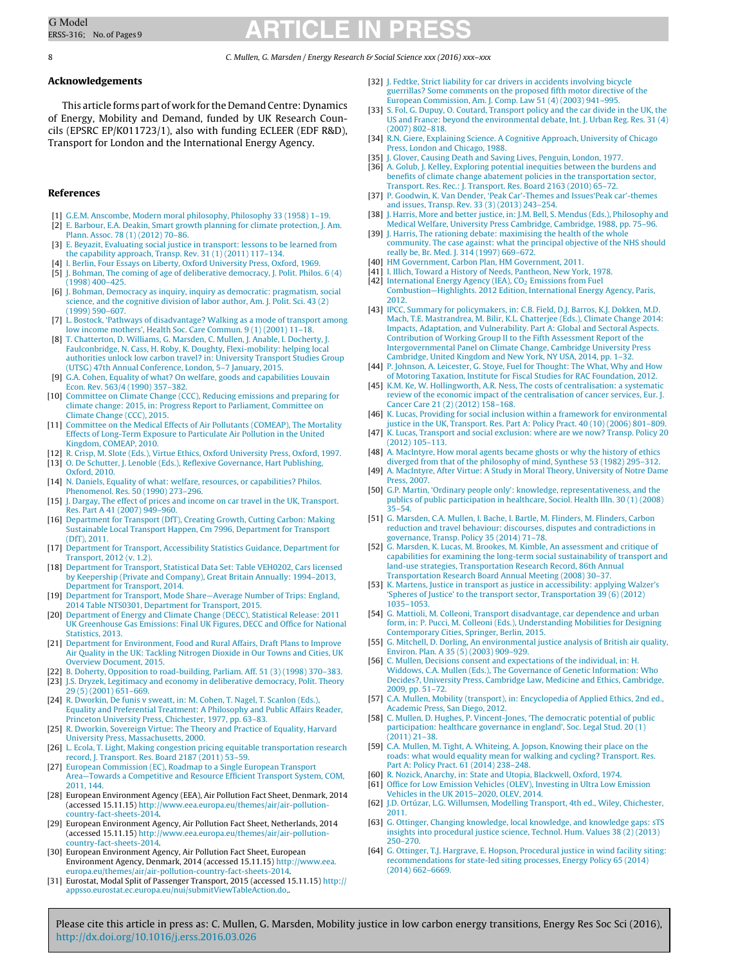#### 8 C. Mullen, G. Marsden / Energy Research & Social Science xxx (2016) xxx–xxx

#### **Acknowledgements**

This article forms part of work for the Demand Centre: Dynamics of Energy, Mobility and Demand, funded by UK Research Councils (EPSRC EP/K011723/1), also with funding ECLEER (EDF R&D), Transport for London and the International Energy Agency.

### **References**

- [1] [G.E.M.](http://refhub.elsevier.com/S2214-6296(16)30061-5/sbref0005) [Anscombe,](http://refhub.elsevier.com/S2214-6296(16)30061-5/sbref0005) [Modern](http://refhub.elsevier.com/S2214-6296(16)30061-5/sbref0005) [moral](http://refhub.elsevier.com/S2214-6296(16)30061-5/sbref0005) [philosophy,](http://refhub.elsevier.com/S2214-6296(16)30061-5/sbref0005) [Philosophy](http://refhub.elsevier.com/S2214-6296(16)30061-5/sbref0005) [33](http://refhub.elsevier.com/S2214-6296(16)30061-5/sbref0005) [\(1958\)](http://refhub.elsevier.com/S2214-6296(16)30061-5/sbref0005) [1–19.](http://refhub.elsevier.com/S2214-6296(16)30061-5/sbref0005)
- [2] [E.](http://refhub.elsevier.com/S2214-6296(16)30061-5/sbref0010) [Barbour,](http://refhub.elsevier.com/S2214-6296(16)30061-5/sbref0010) [E.A.](http://refhub.elsevier.com/S2214-6296(16)30061-5/sbref0010) [Deakin,](http://refhub.elsevier.com/S2214-6296(16)30061-5/sbref0010) [Smart](http://refhub.elsevier.com/S2214-6296(16)30061-5/sbref0010) [growth](http://refhub.elsevier.com/S2214-6296(16)30061-5/sbref0010) [planning](http://refhub.elsevier.com/S2214-6296(16)30061-5/sbref0010) [for](http://refhub.elsevier.com/S2214-6296(16)30061-5/sbref0010) [climate](http://refhub.elsevier.com/S2214-6296(16)30061-5/sbref0010) [protection,](http://refhub.elsevier.com/S2214-6296(16)30061-5/sbref0010) [J.](http://refhub.elsevier.com/S2214-6296(16)30061-5/sbref0010) [Am.](http://refhub.elsevier.com/S2214-6296(16)30061-5/sbref0010) [Plann.](http://refhub.elsevier.com/S2214-6296(16)30061-5/sbref0010) [Assoc.](http://refhub.elsevier.com/S2214-6296(16)30061-5/sbref0010) [78](http://refhub.elsevier.com/S2214-6296(16)30061-5/sbref0010) [\(1\)](http://refhub.elsevier.com/S2214-6296(16)30061-5/sbref0010) [\(2012\)](http://refhub.elsevier.com/S2214-6296(16)30061-5/sbref0010) [70–86.](http://refhub.elsevier.com/S2214-6296(16)30061-5/sbref0010)
- [3] [E.](http://refhub.elsevier.com/S2214-6296(16)30061-5/sbref0015) [Beyazit,](http://refhub.elsevier.com/S2214-6296(16)30061-5/sbref0015) [Evaluating](http://refhub.elsevier.com/S2214-6296(16)30061-5/sbref0015) [social](http://refhub.elsevier.com/S2214-6296(16)30061-5/sbref0015) [justice](http://refhub.elsevier.com/S2214-6296(16)30061-5/sbref0015) [in](http://refhub.elsevier.com/S2214-6296(16)30061-5/sbref0015) [transport:](http://refhub.elsevier.com/S2214-6296(16)30061-5/sbref0015) [lessons](http://refhub.elsevier.com/S2214-6296(16)30061-5/sbref0015) [to](http://refhub.elsevier.com/S2214-6296(16)30061-5/sbref0015) [be](http://refhub.elsevier.com/S2214-6296(16)30061-5/sbref0015) [learned](http://refhub.elsevier.com/S2214-6296(16)30061-5/sbref0015) [from](http://refhub.elsevier.com/S2214-6296(16)30061-5/sbref0015) [the](http://refhub.elsevier.com/S2214-6296(16)30061-5/sbref0015) [capability](http://refhub.elsevier.com/S2214-6296(16)30061-5/sbref0015) [approach,](http://refhub.elsevier.com/S2214-6296(16)30061-5/sbref0015) [Transp.](http://refhub.elsevier.com/S2214-6296(16)30061-5/sbref0015) [Rev.](http://refhub.elsevier.com/S2214-6296(16)30061-5/sbref0015) [31](http://refhub.elsevier.com/S2214-6296(16)30061-5/sbref0015) [\(1\)](http://refhub.elsevier.com/S2214-6296(16)30061-5/sbref0015) [\(2011\)](http://refhub.elsevier.com/S2214-6296(16)30061-5/sbref0015) [117–134.](http://refhub.elsevier.com/S2214-6296(16)30061-5/sbref0015)
- [I.](http://refhub.elsevier.com/S2214-6296(16)30061-5/sbref0020) [Berlin,](http://refhub.elsevier.com/S2214-6296(16)30061-5/sbref0020) [Four](http://refhub.elsevier.com/S2214-6296(16)30061-5/sbref0020) [Essays](http://refhub.elsevier.com/S2214-6296(16)30061-5/sbref0020) [on](http://refhub.elsevier.com/S2214-6296(16)30061-5/sbref0020) [Liberty,](http://refhub.elsevier.com/S2214-6296(16)30061-5/sbref0020) [Oxford](http://refhub.elsevier.com/S2214-6296(16)30061-5/sbref0020) [University](http://refhub.elsevier.com/S2214-6296(16)30061-5/sbref0020) [Press,](http://refhub.elsevier.com/S2214-6296(16)30061-5/sbref0020) [Oxford,](http://refhub.elsevier.com/S2214-6296(16)30061-5/sbref0020) [1969.](http://refhub.elsevier.com/S2214-6296(16)30061-5/sbref0020) [5] [J.](http://refhub.elsevier.com/S2214-6296(16)30061-5/sbref0025) [Bohman,](http://refhub.elsevier.com/S2214-6296(16)30061-5/sbref0025) [The](http://refhub.elsevier.com/S2214-6296(16)30061-5/sbref0025) [coming](http://refhub.elsevier.com/S2214-6296(16)30061-5/sbref0025) [of](http://refhub.elsevier.com/S2214-6296(16)30061-5/sbref0025) [age](http://refhub.elsevier.com/S2214-6296(16)30061-5/sbref0025) of [deliberative](http://refhub.elsevier.com/S2214-6296(16)30061-5/sbref0025) [democracy,](http://refhub.elsevier.com/S2214-6296(16)30061-5/sbref0025) J. [Polit.](http://refhub.elsevier.com/S2214-6296(16)30061-5/sbref0025) [Philos.](http://refhub.elsevier.com/S2214-6296(16)30061-5/sbref0025) [6](http://refhub.elsevier.com/S2214-6296(16)30061-5/sbref0025) [\(4\)](http://refhub.elsevier.com/S2214-6296(16)30061-5/sbref0025) [\(1998\)](http://refhub.elsevier.com/S2214-6296(16)30061-5/sbref0025) [400–425.](http://refhub.elsevier.com/S2214-6296(16)30061-5/sbref0025)
- [6] [J.](http://refhub.elsevier.com/S2214-6296(16)30061-5/sbref0030) [Bohman,](http://refhub.elsevier.com/S2214-6296(16)30061-5/sbref0030) [Democracy](http://refhub.elsevier.com/S2214-6296(16)30061-5/sbref0030) [as](http://refhub.elsevier.com/S2214-6296(16)30061-5/sbref0030) [inquiry,](http://refhub.elsevier.com/S2214-6296(16)30061-5/sbref0030) [inquiry](http://refhub.elsevier.com/S2214-6296(16)30061-5/sbref0030) [as](http://refhub.elsevier.com/S2214-6296(16)30061-5/sbref0030) [democratic:](http://refhub.elsevier.com/S2214-6296(16)30061-5/sbref0030) [pragmatism,](http://refhub.elsevier.com/S2214-6296(16)30061-5/sbref0030) [social](http://refhub.elsevier.com/S2214-6296(16)30061-5/sbref0030) [science,](http://refhub.elsevier.com/S2214-6296(16)30061-5/sbref0030) [and](http://refhub.elsevier.com/S2214-6296(16)30061-5/sbref0030) [the](http://refhub.elsevier.com/S2214-6296(16)30061-5/sbref0030) [cognitive](http://refhub.elsevier.com/S2214-6296(16)30061-5/sbref0030) [division](http://refhub.elsevier.com/S2214-6296(16)30061-5/sbref0030) [of](http://refhub.elsevier.com/S2214-6296(16)30061-5/sbref0030) [labor](http://refhub.elsevier.com/S2214-6296(16)30061-5/sbref0030) [author,](http://refhub.elsevier.com/S2214-6296(16)30061-5/sbref0030) [Am.](http://refhub.elsevier.com/S2214-6296(16)30061-5/sbref0030) [J.](http://refhub.elsevier.com/S2214-6296(16)30061-5/sbref0030) [Polit.](http://refhub.elsevier.com/S2214-6296(16)30061-5/sbref0030) [Sci.](http://refhub.elsevier.com/S2214-6296(16)30061-5/sbref0030) [43](http://refhub.elsevier.com/S2214-6296(16)30061-5/sbref0030) [\(2\)](http://refhub.elsevier.com/S2214-6296(16)30061-5/sbref0030) [\(1999\)](http://refhub.elsevier.com/S2214-6296(16)30061-5/sbref0030) [590–607.](http://refhub.elsevier.com/S2214-6296(16)30061-5/sbref0030)
- [7] [L.](http://refhub.elsevier.com/S2214-6296(16)30061-5/sbref0035) [Bostock,](http://refhub.elsevier.com/S2214-6296(16)30061-5/sbref0035) ['Pathways](http://refhub.elsevier.com/S2214-6296(16)30061-5/sbref0035) [of](http://refhub.elsevier.com/S2214-6296(16)30061-5/sbref0035) [disadvantage?](http://refhub.elsevier.com/S2214-6296(16)30061-5/sbref0035) [Walking](http://refhub.elsevier.com/S2214-6296(16)30061-5/sbref0035) [as](http://refhub.elsevier.com/S2214-6296(16)30061-5/sbref0035) [a](http://refhub.elsevier.com/S2214-6296(16)30061-5/sbref0035) [mode](http://refhub.elsevier.com/S2214-6296(16)30061-5/sbref0035) [of](http://refhub.elsevier.com/S2214-6296(16)30061-5/sbref0035) [transport](http://refhub.elsevier.com/S2214-6296(16)30061-5/sbref0035) [among](http://refhub.elsevier.com/S2214-6296(16)30061-5/sbref0035) [low](http://refhub.elsevier.com/S2214-6296(16)30061-5/sbref0035) [income](http://refhub.elsevier.com/S2214-6296(16)30061-5/sbref0035) [mothers',](http://refhub.elsevier.com/S2214-6296(16)30061-5/sbref0035) [Health](http://refhub.elsevier.com/S2214-6296(16)30061-5/sbref0035) [Soc.](http://refhub.elsevier.com/S2214-6296(16)30061-5/sbref0035) [Care](http://refhub.elsevier.com/S2214-6296(16)30061-5/sbref0035) [Commun.](http://refhub.elsevier.com/S2214-6296(16)30061-5/sbref0035) [9](http://refhub.elsevier.com/S2214-6296(16)30061-5/sbref0035) [\(1\)](http://refhub.elsevier.com/S2214-6296(16)30061-5/sbref0035) [\(2001\)](http://refhub.elsevier.com/S2214-6296(16)30061-5/sbref0035) [11–18.](http://refhub.elsevier.com/S2214-6296(16)30061-5/sbref0035)
- [8] [T.](http://refhub.elsevier.com/S2214-6296(16)30061-5/sbref0040) [Chatterton,](http://refhub.elsevier.com/S2214-6296(16)30061-5/sbref0040) [D.](http://refhub.elsevier.com/S2214-6296(16)30061-5/sbref0040) [Williams,](http://refhub.elsevier.com/S2214-6296(16)30061-5/sbref0040) [G.](http://refhub.elsevier.com/S2214-6296(16)30061-5/sbref0040) [Marsden,](http://refhub.elsevier.com/S2214-6296(16)30061-5/sbref0040) [C.](http://refhub.elsevier.com/S2214-6296(16)30061-5/sbref0040) [Mullen,](http://refhub.elsevier.com/S2214-6296(16)30061-5/sbref0040) [J.](http://refhub.elsevier.com/S2214-6296(16)30061-5/sbref0040) [Anable,](http://refhub.elsevier.com/S2214-6296(16)30061-5/sbref0040) [I.](http://refhub.elsevier.com/S2214-6296(16)30061-5/sbref0040) [Docherty,](http://refhub.elsevier.com/S2214-6296(16)30061-5/sbref0040) [J.](http://refhub.elsevier.com/S2214-6296(16)30061-5/sbref0040) [Faulconbridge,](http://refhub.elsevier.com/S2214-6296(16)30061-5/sbref0040) [N.](http://refhub.elsevier.com/S2214-6296(16)30061-5/sbref0040) [Cass,](http://refhub.elsevier.com/S2214-6296(16)30061-5/sbref0040) [H.](http://refhub.elsevier.com/S2214-6296(16)30061-5/sbref0040) [Roby,](http://refhub.elsevier.com/S2214-6296(16)30061-5/sbref0040) [K.](http://refhub.elsevier.com/S2214-6296(16)30061-5/sbref0040) [Doughty,](http://refhub.elsevier.com/S2214-6296(16)30061-5/sbref0040) [Flexi-mobility:](http://refhub.elsevier.com/S2214-6296(16)30061-5/sbref0040) [helping](http://refhub.elsevier.com/S2214-6296(16)30061-5/sbref0040) [local](http://refhub.elsevier.com/S2214-6296(16)30061-5/sbref0040) [authorities](http://refhub.elsevier.com/S2214-6296(16)30061-5/sbref0040) [unlock](http://refhub.elsevier.com/S2214-6296(16)30061-5/sbref0040) [low](http://refhub.elsevier.com/S2214-6296(16)30061-5/sbref0040) [carbon](http://refhub.elsevier.com/S2214-6296(16)30061-5/sbref0040) [travel?](http://refhub.elsevier.com/S2214-6296(16)30061-5/sbref0040) [in:](http://refhub.elsevier.com/S2214-6296(16)30061-5/sbref0040) [University](http://refhub.elsevier.com/S2214-6296(16)30061-5/sbref0040) [Transport](http://refhub.elsevier.com/S2214-6296(16)30061-5/sbref0040) [Studies](http://refhub.elsevier.com/S2214-6296(16)30061-5/sbref0040) [Group](http://refhub.elsevier.com/S2214-6296(16)30061-5/sbref0040) [\(UTSG\)](http://refhub.elsevier.com/S2214-6296(16)30061-5/sbref0040) [47th](http://refhub.elsevier.com/S2214-6296(16)30061-5/sbref0040) [Annual](http://refhub.elsevier.com/S2214-6296(16)30061-5/sbref0040) [Conference,](http://refhub.elsevier.com/S2214-6296(16)30061-5/sbref0040) [London,](http://refhub.elsevier.com/S2214-6296(16)30061-5/sbref0040) [5](http://refhub.elsevier.com/S2214-6296(16)30061-5/sbref0040)–[7](http://refhub.elsevier.com/S2214-6296(16)30061-5/sbref0040) [January,](http://refhub.elsevier.com/S2214-6296(16)30061-5/sbref0040) [2015.](http://refhub.elsevier.com/S2214-6296(16)30061-5/sbref0040)
- [9] [G.A.](http://refhub.elsevier.com/S2214-6296(16)30061-5/sbref0045) [Cohen,](http://refhub.elsevier.com/S2214-6296(16)30061-5/sbref0045) [Equality](http://refhub.elsevier.com/S2214-6296(16)30061-5/sbref0045) [of](http://refhub.elsevier.com/S2214-6296(16)30061-5/sbref0045) [what?](http://refhub.elsevier.com/S2214-6296(16)30061-5/sbref0045) [On](http://refhub.elsevier.com/S2214-6296(16)30061-5/sbref0045) [welfare,](http://refhub.elsevier.com/S2214-6296(16)30061-5/sbref0045) [goods](http://refhub.elsevier.com/S2214-6296(16)30061-5/sbref0045) [and](http://refhub.elsevier.com/S2214-6296(16)30061-5/sbref0045) [capabilities](http://refhub.elsevier.com/S2214-6296(16)30061-5/sbref0045) [Louvain](http://refhub.elsevier.com/S2214-6296(16)30061-5/sbref0045) [Econ.](http://refhub.elsevier.com/S2214-6296(16)30061-5/sbref0045) [Rev.](http://refhub.elsevier.com/S2214-6296(16)30061-5/sbref0045) [563/4](http://refhub.elsevier.com/S2214-6296(16)30061-5/sbref0045) [\(1990\)](http://refhub.elsevier.com/S2214-6296(16)30061-5/sbref0045) [357](http://refhub.elsevier.com/S2214-6296(16)30061-5/sbref0045)–[382.](http://refhub.elsevier.com/S2214-6296(16)30061-5/sbref0045)
- [10] [Committee](http://refhub.elsevier.com/S2214-6296(16)30061-5/sbref0050) [on](http://refhub.elsevier.com/S2214-6296(16)30061-5/sbref0050) [Climate](http://refhub.elsevier.com/S2214-6296(16)30061-5/sbref0050) [Change](http://refhub.elsevier.com/S2214-6296(16)30061-5/sbref0050) [\(CCC\),](http://refhub.elsevier.com/S2214-6296(16)30061-5/sbref0050) [Reducing](http://refhub.elsevier.com/S2214-6296(16)30061-5/sbref0050) [emissions](http://refhub.elsevier.com/S2214-6296(16)30061-5/sbref0050) [and](http://refhub.elsevier.com/S2214-6296(16)30061-5/sbref0050) [preparing](http://refhub.elsevier.com/S2214-6296(16)30061-5/sbref0050) [for](http://refhub.elsevier.com/S2214-6296(16)30061-5/sbref0050) [climate](http://refhub.elsevier.com/S2214-6296(16)30061-5/sbref0050) [change:](http://refhub.elsevier.com/S2214-6296(16)30061-5/sbref0050) [2015,](http://refhub.elsevier.com/S2214-6296(16)30061-5/sbref0050) [in:](http://refhub.elsevier.com/S2214-6296(16)30061-5/sbref0050) [Progress](http://refhub.elsevier.com/S2214-6296(16)30061-5/sbref0050) [Report](http://refhub.elsevier.com/S2214-6296(16)30061-5/sbref0050) [to](http://refhub.elsevier.com/S2214-6296(16)30061-5/sbref0050) [Parliament,](http://refhub.elsevier.com/S2214-6296(16)30061-5/sbref0050) [Committee](http://refhub.elsevier.com/S2214-6296(16)30061-5/sbref0050) [on](http://refhub.elsevier.com/S2214-6296(16)30061-5/sbref0050) [Climate](http://refhub.elsevier.com/S2214-6296(16)30061-5/sbref0050) [Change](http://refhub.elsevier.com/S2214-6296(16)30061-5/sbref0050) [\(CCC\),](http://refhub.elsevier.com/S2214-6296(16)30061-5/sbref0050) [2015.](http://refhub.elsevier.com/S2214-6296(16)30061-5/sbref0050)
- [11] [Committee](http://refhub.elsevier.com/S2214-6296(16)30061-5/sbref0055) [on](http://refhub.elsevier.com/S2214-6296(16)30061-5/sbref0055) [the](http://refhub.elsevier.com/S2214-6296(16)30061-5/sbref0055) [Medical](http://refhub.elsevier.com/S2214-6296(16)30061-5/sbref0055) [Effects](http://refhub.elsevier.com/S2214-6296(16)30061-5/sbref0055) [of](http://refhub.elsevier.com/S2214-6296(16)30061-5/sbref0055) [Air](http://refhub.elsevier.com/S2214-6296(16)30061-5/sbref0055) [Pollutants](http://refhub.elsevier.com/S2214-6296(16)30061-5/sbref0055) [\(COMEAP\),](http://refhub.elsevier.com/S2214-6296(16)30061-5/sbref0055) [The](http://refhub.elsevier.com/S2214-6296(16)30061-5/sbref0055) [Mortality](http://refhub.elsevier.com/S2214-6296(16)30061-5/sbref0055) [Effects](http://refhub.elsevier.com/S2214-6296(16)30061-5/sbref0055) [of](http://refhub.elsevier.com/S2214-6296(16)30061-5/sbref0055) [Long-Term](http://refhub.elsevier.com/S2214-6296(16)30061-5/sbref0055) [Exposure](http://refhub.elsevier.com/S2214-6296(16)30061-5/sbref0055) [to](http://refhub.elsevier.com/S2214-6296(16)30061-5/sbref0055) [Particulate](http://refhub.elsevier.com/S2214-6296(16)30061-5/sbref0055) [Air](http://refhub.elsevier.com/S2214-6296(16)30061-5/sbref0055) [Pollution](http://refhub.elsevier.com/S2214-6296(16)30061-5/sbref0055) [in](http://refhub.elsevier.com/S2214-6296(16)30061-5/sbref0055) [the](http://refhub.elsevier.com/S2214-6296(16)30061-5/sbref0055) [United](http://refhub.elsevier.com/S2214-6296(16)30061-5/sbref0055) [Kingdom,](http://refhub.elsevier.com/S2214-6296(16)30061-5/sbref0055) [COMEAP,](http://refhub.elsevier.com/S2214-6296(16)30061-5/sbref0055) [2010.](http://refhub.elsevier.com/S2214-6296(16)30061-5/sbref0055)
- [R.](http://refhub.elsevier.com/S2214-6296(16)30061-5/sbref0060) [Crisp,](http://refhub.elsevier.com/S2214-6296(16)30061-5/sbref0060) [M.](http://refhub.elsevier.com/S2214-6296(16)30061-5/sbref0060) [Slote](http://refhub.elsevier.com/S2214-6296(16)30061-5/sbref0060) [\(Eds.\),](http://refhub.elsevier.com/S2214-6296(16)30061-5/sbref0060) [Virtue](http://refhub.elsevier.com/S2214-6296(16)30061-5/sbref0060) [Ethics,](http://refhub.elsevier.com/S2214-6296(16)30061-5/sbref0060) [Oxford](http://refhub.elsevier.com/S2214-6296(16)30061-5/sbref0060) [University](http://refhub.elsevier.com/S2214-6296(16)30061-5/sbref0060) [Press,](http://refhub.elsevier.com/S2214-6296(16)30061-5/sbref0060) [Oxford,](http://refhub.elsevier.com/S2214-6296(16)30061-5/sbref0060) [1997.](http://refhub.elsevier.com/S2214-6296(16)30061-5/sbref0060)
- [13] [O.](http://refhub.elsevier.com/S2214-6296(16)30061-5/sbref0065) [De](http://refhub.elsevier.com/S2214-6296(16)30061-5/sbref0065) [Schutter,](http://refhub.elsevier.com/S2214-6296(16)30061-5/sbref0065) [J.](http://refhub.elsevier.com/S2214-6296(16)30061-5/sbref0065) [Lenoble](http://refhub.elsevier.com/S2214-6296(16)30061-5/sbref0065) [\(Eds.\),](http://refhub.elsevier.com/S2214-6296(16)30061-5/sbref0065) [Reflexive](http://refhub.elsevier.com/S2214-6296(16)30061-5/sbref0065) [Governance,](http://refhub.elsevier.com/S2214-6296(16)30061-5/sbref0065) [Hart](http://refhub.elsevier.com/S2214-6296(16)30061-5/sbref0065) [Publishing,](http://refhub.elsevier.com/S2214-6296(16)30061-5/sbref0065) [Oxford,](http://refhub.elsevier.com/S2214-6296(16)30061-5/sbref0065) [2010.](http://refhub.elsevier.com/S2214-6296(16)30061-5/sbref0065)
- [14] [N.](http://refhub.elsevier.com/S2214-6296(16)30061-5/sbref0070) [Daniels,](http://refhub.elsevier.com/S2214-6296(16)30061-5/sbref0070) [Equality](http://refhub.elsevier.com/S2214-6296(16)30061-5/sbref0070) [of](http://refhub.elsevier.com/S2214-6296(16)30061-5/sbref0070) [what:](http://refhub.elsevier.com/S2214-6296(16)30061-5/sbref0070) [welfare,](http://refhub.elsevier.com/S2214-6296(16)30061-5/sbref0070) [resources,](http://refhub.elsevier.com/S2214-6296(16)30061-5/sbref0070) [or](http://refhub.elsevier.com/S2214-6296(16)30061-5/sbref0070) [capabilities?](http://refhub.elsevier.com/S2214-6296(16)30061-5/sbref0070) [Philos.](http://refhub.elsevier.com/S2214-6296(16)30061-5/sbref0070) [Phenomenol.](http://refhub.elsevier.com/S2214-6296(16)30061-5/sbref0070) [Res.](http://refhub.elsevier.com/S2214-6296(16)30061-5/sbref0070) [50](http://refhub.elsevier.com/S2214-6296(16)30061-5/sbref0070) [\(1990\)](http://refhub.elsevier.com/S2214-6296(16)30061-5/sbref0070) [273](http://refhub.elsevier.com/S2214-6296(16)30061-5/sbref0070)–[296.](http://refhub.elsevier.com/S2214-6296(16)30061-5/sbref0070)
- [15] [J.](http://refhub.elsevier.com/S2214-6296(16)30061-5/sbref0075) [Dargay,](http://refhub.elsevier.com/S2214-6296(16)30061-5/sbref0075) [The](http://refhub.elsevier.com/S2214-6296(16)30061-5/sbref0075) [effect](http://refhub.elsevier.com/S2214-6296(16)30061-5/sbref0075) [of](http://refhub.elsevier.com/S2214-6296(16)30061-5/sbref0075) [prices](http://refhub.elsevier.com/S2214-6296(16)30061-5/sbref0075) [and](http://refhub.elsevier.com/S2214-6296(16)30061-5/sbref0075) [income](http://refhub.elsevier.com/S2214-6296(16)30061-5/sbref0075) [on](http://refhub.elsevier.com/S2214-6296(16)30061-5/sbref0075) [car](http://refhub.elsevier.com/S2214-6296(16)30061-5/sbref0075) [travel](http://refhub.elsevier.com/S2214-6296(16)30061-5/sbref0075) [in](http://refhub.elsevier.com/S2214-6296(16)30061-5/sbref0075) [the](http://refhub.elsevier.com/S2214-6296(16)30061-5/sbref0075) [UK,](http://refhub.elsevier.com/S2214-6296(16)30061-5/sbref0075) [Transport.](http://refhub.elsevier.com/S2214-6296(16)30061-5/sbref0075) [Res.](http://refhub.elsevier.com/S2214-6296(16)30061-5/sbref0075) [Part](http://refhub.elsevier.com/S2214-6296(16)30061-5/sbref0075) [A](http://refhub.elsevier.com/S2214-6296(16)30061-5/sbref0075) [41](http://refhub.elsevier.com/S2214-6296(16)30061-5/sbref0075) [\(2007\)](http://refhub.elsevier.com/S2214-6296(16)30061-5/sbref0075) [949](http://refhub.elsevier.com/S2214-6296(16)30061-5/sbref0075)–[960.](http://refhub.elsevier.com/S2214-6296(16)30061-5/sbref0075)
- [16] [Department](http://refhub.elsevier.com/S2214-6296(16)30061-5/sbref0080) [for](http://refhub.elsevier.com/S2214-6296(16)30061-5/sbref0080) [Transport](http://refhub.elsevier.com/S2214-6296(16)30061-5/sbref0080) [\(DfT\),](http://refhub.elsevier.com/S2214-6296(16)30061-5/sbref0080) [Creating](http://refhub.elsevier.com/S2214-6296(16)30061-5/sbref0080) [Growth,](http://refhub.elsevier.com/S2214-6296(16)30061-5/sbref0080) [Cutting](http://refhub.elsevier.com/S2214-6296(16)30061-5/sbref0080) [Carbon:](http://refhub.elsevier.com/S2214-6296(16)30061-5/sbref0080) [Making](http://refhub.elsevier.com/S2214-6296(16)30061-5/sbref0080) [Sustainable](http://refhub.elsevier.com/S2214-6296(16)30061-5/sbref0080) [Local](http://refhub.elsevier.com/S2214-6296(16)30061-5/sbref0080) [Transport](http://refhub.elsevier.com/S2214-6296(16)30061-5/sbref0080) [Happen,](http://refhub.elsevier.com/S2214-6296(16)30061-5/sbref0080) [Cm](http://refhub.elsevier.com/S2214-6296(16)30061-5/sbref0080) [7996,](http://refhub.elsevier.com/S2214-6296(16)30061-5/sbref0080) [Department](http://refhub.elsevier.com/S2214-6296(16)30061-5/sbref0080) [for](http://refhub.elsevier.com/S2214-6296(16)30061-5/sbref0080) [Transport](http://refhub.elsevier.com/S2214-6296(16)30061-5/sbref0080) [\(DfT\),](http://refhub.elsevier.com/S2214-6296(16)30061-5/sbref0080) [2011.](http://refhub.elsevier.com/S2214-6296(16)30061-5/sbref0080)
- [17] [Department](http://refhub.elsevier.com/S2214-6296(16)30061-5/sbref0085) [for](http://refhub.elsevier.com/S2214-6296(16)30061-5/sbref0085) [Transport,](http://refhub.elsevier.com/S2214-6296(16)30061-5/sbref0085) [Accessibility](http://refhub.elsevier.com/S2214-6296(16)30061-5/sbref0085) [Statistics](http://refhub.elsevier.com/S2214-6296(16)30061-5/sbref0085) [Guidance,](http://refhub.elsevier.com/S2214-6296(16)30061-5/sbref0085) [Department](http://refhub.elsevier.com/S2214-6296(16)30061-5/sbref0085) [for](http://refhub.elsevier.com/S2214-6296(16)30061-5/sbref0085) [Transport,](http://refhub.elsevier.com/S2214-6296(16)30061-5/sbref0085) [2012](http://refhub.elsevier.com/S2214-6296(16)30061-5/sbref0085) [\(v.](http://refhub.elsevier.com/S2214-6296(16)30061-5/sbref0085) [1.2\).](http://refhub.elsevier.com/S2214-6296(16)30061-5/sbref0085)
- [18] [Department](http://refhub.elsevier.com/S2214-6296(16)30061-5/sbref0090) [for](http://refhub.elsevier.com/S2214-6296(16)30061-5/sbref0090) [Transport,](http://refhub.elsevier.com/S2214-6296(16)30061-5/sbref0090) [Statistical](http://refhub.elsevier.com/S2214-6296(16)30061-5/sbref0090) [Data](http://refhub.elsevier.com/S2214-6296(16)30061-5/sbref0090) [Set:](http://refhub.elsevier.com/S2214-6296(16)30061-5/sbref0090) [Table](http://refhub.elsevier.com/S2214-6296(16)30061-5/sbref0090) [VEH0202,](http://refhub.elsevier.com/S2214-6296(16)30061-5/sbref0090) [Cars](http://refhub.elsevier.com/S2214-6296(16)30061-5/sbref0090) [licensed](http://refhub.elsevier.com/S2214-6296(16)30061-5/sbref0090) [by](http://refhub.elsevier.com/S2214-6296(16)30061-5/sbref0090) [Keepership](http://refhub.elsevier.com/S2214-6296(16)30061-5/sbref0090) [\(Private](http://refhub.elsevier.com/S2214-6296(16)30061-5/sbref0090) [and](http://refhub.elsevier.com/S2214-6296(16)30061-5/sbref0090) [Company\),](http://refhub.elsevier.com/S2214-6296(16)30061-5/sbref0090) [Great](http://refhub.elsevier.com/S2214-6296(16)30061-5/sbref0090) [Britain](http://refhub.elsevier.com/S2214-6296(16)30061-5/sbref0090) [Annually:](http://refhub.elsevier.com/S2214-6296(16)30061-5/sbref0090) [1994–2013,](http://refhub.elsevier.com/S2214-6296(16)30061-5/sbref0090) [Department](http://refhub.elsevier.com/S2214-6296(16)30061-5/sbref0090) [for](http://refhub.elsevier.com/S2214-6296(16)30061-5/sbref0090) [Transport,](http://refhub.elsevier.com/S2214-6296(16)30061-5/sbref0090) [2014.](http://refhub.elsevier.com/S2214-6296(16)30061-5/sbref0090)
- [19] [Department](http://refhub.elsevier.com/S2214-6296(16)30061-5/sbref0095) [for](http://refhub.elsevier.com/S2214-6296(16)30061-5/sbref0095) [Transport,](http://refhub.elsevier.com/S2214-6296(16)30061-5/sbref0095) [Mode](http://refhub.elsevier.com/S2214-6296(16)30061-5/sbref0095) [Share—Average](http://refhub.elsevier.com/S2214-6296(16)30061-5/sbref0095) [Number](http://refhub.elsevier.com/S2214-6296(16)30061-5/sbref0095) [of](http://refhub.elsevier.com/S2214-6296(16)30061-5/sbref0095) [Trips:](http://refhub.elsevier.com/S2214-6296(16)30061-5/sbref0095) [England,](http://refhub.elsevier.com/S2214-6296(16)30061-5/sbref0095) [2014](http://refhub.elsevier.com/S2214-6296(16)30061-5/sbref0095) [Table](http://refhub.elsevier.com/S2214-6296(16)30061-5/sbref0095) [NTS0301,](http://refhub.elsevier.com/S2214-6296(16)30061-5/sbref0095) [Department](http://refhub.elsevier.com/S2214-6296(16)30061-5/sbref0095) [for](http://refhub.elsevier.com/S2214-6296(16)30061-5/sbref0095) [Transport,](http://refhub.elsevier.com/S2214-6296(16)30061-5/sbref0095) [2015.](http://refhub.elsevier.com/S2214-6296(16)30061-5/sbref0095)
- [20] [Department](http://refhub.elsevier.com/S2214-6296(16)30061-5/sbref0100) [of](http://refhub.elsevier.com/S2214-6296(16)30061-5/sbref0100) [Energy](http://refhub.elsevier.com/S2214-6296(16)30061-5/sbref0100) [and](http://refhub.elsevier.com/S2214-6296(16)30061-5/sbref0100) [Climate](http://refhub.elsevier.com/S2214-6296(16)30061-5/sbref0100) [Change](http://refhub.elsevier.com/S2214-6296(16)30061-5/sbref0100) [\(DECC\),](http://refhub.elsevier.com/S2214-6296(16)30061-5/sbref0100) [Statistical](http://refhub.elsevier.com/S2214-6296(16)30061-5/sbref0100) [Release:](http://refhub.elsevier.com/S2214-6296(16)30061-5/sbref0100) [2011](http://refhub.elsevier.com/S2214-6296(16)30061-5/sbref0100) [UK](http://refhub.elsevier.com/S2214-6296(16)30061-5/sbref0100) [Greenhouse](http://refhub.elsevier.com/S2214-6296(16)30061-5/sbref0100) [Gas](http://refhub.elsevier.com/S2214-6296(16)30061-5/sbref0100) [Emissions:](http://refhub.elsevier.com/S2214-6296(16)30061-5/sbref0100) [Final](http://refhub.elsevier.com/S2214-6296(16)30061-5/sbref0100) [UK](http://refhub.elsevier.com/S2214-6296(16)30061-5/sbref0100) [Figures,](http://refhub.elsevier.com/S2214-6296(16)30061-5/sbref0100) [DECC](http://refhub.elsevier.com/S2214-6296(16)30061-5/sbref0100) [and](http://refhub.elsevier.com/S2214-6296(16)30061-5/sbref0100) [Office](http://refhub.elsevier.com/S2214-6296(16)30061-5/sbref0100) [for](http://refhub.elsevier.com/S2214-6296(16)30061-5/sbref0100) [National](http://refhub.elsevier.com/S2214-6296(16)30061-5/sbref0100) [Statistics,](http://refhub.elsevier.com/S2214-6296(16)30061-5/sbref0100) [2013.](http://refhub.elsevier.com/S2214-6296(16)30061-5/sbref0100)
- [21] [Department](http://refhub.elsevier.com/S2214-6296(16)30061-5/sbref0105) [for](http://refhub.elsevier.com/S2214-6296(16)30061-5/sbref0105) [Environment,](http://refhub.elsevier.com/S2214-6296(16)30061-5/sbref0105) [Food](http://refhub.elsevier.com/S2214-6296(16)30061-5/sbref0105) [and](http://refhub.elsevier.com/S2214-6296(16)30061-5/sbref0105) [Rural](http://refhub.elsevier.com/S2214-6296(16)30061-5/sbref0105) [Affairs,](http://refhub.elsevier.com/S2214-6296(16)30061-5/sbref0105) [Draft](http://refhub.elsevier.com/S2214-6296(16)30061-5/sbref0105) [Plans](http://refhub.elsevier.com/S2214-6296(16)30061-5/sbref0105) [to](http://refhub.elsevier.com/S2214-6296(16)30061-5/sbref0105) [Improve](http://refhub.elsevier.com/S2214-6296(16)30061-5/sbref0105) [Air](http://refhub.elsevier.com/S2214-6296(16)30061-5/sbref0105) [Quality](http://refhub.elsevier.com/S2214-6296(16)30061-5/sbref0105) [in](http://refhub.elsevier.com/S2214-6296(16)30061-5/sbref0105) [the](http://refhub.elsevier.com/S2214-6296(16)30061-5/sbref0105) [UK:](http://refhub.elsevier.com/S2214-6296(16)30061-5/sbref0105) [Tackling](http://refhub.elsevier.com/S2214-6296(16)30061-5/sbref0105) [Nitrogen](http://refhub.elsevier.com/S2214-6296(16)30061-5/sbref0105) [Dioxide](http://refhub.elsevier.com/S2214-6296(16)30061-5/sbref0105) [in](http://refhub.elsevier.com/S2214-6296(16)30061-5/sbref0105) [Our](http://refhub.elsevier.com/S2214-6296(16)30061-5/sbref0105) [Towns](http://refhub.elsevier.com/S2214-6296(16)30061-5/sbref0105) [and](http://refhub.elsevier.com/S2214-6296(16)30061-5/sbref0105) [Cities,](http://refhub.elsevier.com/S2214-6296(16)30061-5/sbref0105) [UK](http://refhub.elsevier.com/S2214-6296(16)30061-5/sbref0105) [Overview](http://refhub.elsevier.com/S2214-6296(16)30061-5/sbref0105) [Document,](http://refhub.elsevier.com/S2214-6296(16)30061-5/sbref0105) [2015.](http://refhub.elsevier.com/S2214-6296(16)30061-5/sbref0105)
- [22] [B.](http://refhub.elsevier.com/S2214-6296(16)30061-5/sbref0110) [Doherty,](http://refhub.elsevier.com/S2214-6296(16)30061-5/sbref0110) [Opposition](http://refhub.elsevier.com/S2214-6296(16)30061-5/sbref0110) [to](http://refhub.elsevier.com/S2214-6296(16)30061-5/sbref0110) [road-building,](http://refhub.elsevier.com/S2214-6296(16)30061-5/sbref0110) [Parliam.](http://refhub.elsevier.com/S2214-6296(16)30061-5/sbref0110) [Aff.](http://refhub.elsevier.com/S2214-6296(16)30061-5/sbref0110) [51](http://refhub.elsevier.com/S2214-6296(16)30061-5/sbref0110) [\(3\)](http://refhub.elsevier.com/S2214-6296(16)30061-5/sbref0110) [\(1998\)](http://refhub.elsevier.com/S2214-6296(16)30061-5/sbref0110) 370-383.
- [23] [J.S.](http://refhub.elsevier.com/S2214-6296(16)30061-5/sbref0115) [Dryzek,](http://refhub.elsevier.com/S2214-6296(16)30061-5/sbref0115) [Legitimacy](http://refhub.elsevier.com/S2214-6296(16)30061-5/sbref0115) [and](http://refhub.elsevier.com/S2214-6296(16)30061-5/sbref0115) [economy](http://refhub.elsevier.com/S2214-6296(16)30061-5/sbref0115) [in](http://refhub.elsevier.com/S2214-6296(16)30061-5/sbref0115) [deliberative](http://refhub.elsevier.com/S2214-6296(16)30061-5/sbref0115) [democracy,](http://refhub.elsevier.com/S2214-6296(16)30061-5/sbref0115) [Polit.](http://refhub.elsevier.com/S2214-6296(16)30061-5/sbref0115) [Theory](http://refhub.elsevier.com/S2214-6296(16)30061-5/sbref0115) [29](http://refhub.elsevier.com/S2214-6296(16)30061-5/sbref0115) [\(5\)](http://refhub.elsevier.com/S2214-6296(16)30061-5/sbref0115) [\(2001\)](http://refhub.elsevier.com/S2214-6296(16)30061-5/sbref0115) [651](http://refhub.elsevier.com/S2214-6296(16)30061-5/sbref0115)–[669.](http://refhub.elsevier.com/S2214-6296(16)30061-5/sbref0115)
- [24] [R.](http://refhub.elsevier.com/S2214-6296(16)30061-5/sbref0120) [Dworkin,](http://refhub.elsevier.com/S2214-6296(16)30061-5/sbref0120) [De](http://refhub.elsevier.com/S2214-6296(16)30061-5/sbref0120) [funis](http://refhub.elsevier.com/S2214-6296(16)30061-5/sbref0120) [v](http://refhub.elsevier.com/S2214-6296(16)30061-5/sbref0120) [sweatt,](http://refhub.elsevier.com/S2214-6296(16)30061-5/sbref0120) [in:](http://refhub.elsevier.com/S2214-6296(16)30061-5/sbref0120) [M.](http://refhub.elsevier.com/S2214-6296(16)30061-5/sbref0120) [Cohen,](http://refhub.elsevier.com/S2214-6296(16)30061-5/sbref0120) [T.](http://refhub.elsevier.com/S2214-6296(16)30061-5/sbref0120) [Nagel,](http://refhub.elsevier.com/S2214-6296(16)30061-5/sbref0120) [T.](http://refhub.elsevier.com/S2214-6296(16)30061-5/sbref0120) [Scanlon](http://refhub.elsevier.com/S2214-6296(16)30061-5/sbref0120) [\(Eds.\),](http://refhub.elsevier.com/S2214-6296(16)30061-5/sbref0120) [Equality](http://refhub.elsevier.com/S2214-6296(16)30061-5/sbref0120) [and](http://refhub.elsevier.com/S2214-6296(16)30061-5/sbref0120) [Preferential](http://refhub.elsevier.com/S2214-6296(16)30061-5/sbref0120) [Treatment:](http://refhub.elsevier.com/S2214-6296(16)30061-5/sbref0120) [A](http://refhub.elsevier.com/S2214-6296(16)30061-5/sbref0120) [Philosophy](http://refhub.elsevier.com/S2214-6296(16)30061-5/sbref0120) [and](http://refhub.elsevier.com/S2214-6296(16)30061-5/sbref0120) [Public](http://refhub.elsevier.com/S2214-6296(16)30061-5/sbref0120) [Affairs](http://refhub.elsevier.com/S2214-6296(16)30061-5/sbref0120) [Reader,](http://refhub.elsevier.com/S2214-6296(16)30061-5/sbref0120) [Princeton](http://refhub.elsevier.com/S2214-6296(16)30061-5/sbref0120) [University](http://refhub.elsevier.com/S2214-6296(16)30061-5/sbref0120) [Press,](http://refhub.elsevier.com/S2214-6296(16)30061-5/sbref0120) [Chichester,](http://refhub.elsevier.com/S2214-6296(16)30061-5/sbref0120) [1977,](http://refhub.elsevier.com/S2214-6296(16)30061-5/sbref0120) [pp.](http://refhub.elsevier.com/S2214-6296(16)30061-5/sbref0120) [63–83.](http://refhub.elsevier.com/S2214-6296(16)30061-5/sbref0120)
- [25] [R.](http://refhub.elsevier.com/S2214-6296(16)30061-5/sbref0125) [Dworkin,](http://refhub.elsevier.com/S2214-6296(16)30061-5/sbref0125) [Sovereign](http://refhub.elsevier.com/S2214-6296(16)30061-5/sbref0125) [Virtue:](http://refhub.elsevier.com/S2214-6296(16)30061-5/sbref0125) [The](http://refhub.elsevier.com/S2214-6296(16)30061-5/sbref0125) [Theory](http://refhub.elsevier.com/S2214-6296(16)30061-5/sbref0125) [and](http://refhub.elsevier.com/S2214-6296(16)30061-5/sbref0125) [Practice](http://refhub.elsevier.com/S2214-6296(16)30061-5/sbref0125) [of](http://refhub.elsevier.com/S2214-6296(16)30061-5/sbref0125) [Equality,](http://refhub.elsevier.com/S2214-6296(16)30061-5/sbref0125) [Harvard](http://refhub.elsevier.com/S2214-6296(16)30061-5/sbref0125) [University](http://refhub.elsevier.com/S2214-6296(16)30061-5/sbref0125) [Press,](http://refhub.elsevier.com/S2214-6296(16)30061-5/sbref0125) [Massachusetts,](http://refhub.elsevier.com/S2214-6296(16)30061-5/sbref0125) [2000.](http://refhub.elsevier.com/S2214-6296(16)30061-5/sbref0125)
- [26] [L.](http://refhub.elsevier.com/S2214-6296(16)30061-5/sbref0130) [Ecola,](http://refhub.elsevier.com/S2214-6296(16)30061-5/sbref0130) [T.](http://refhub.elsevier.com/S2214-6296(16)30061-5/sbref0130) [Light,](http://refhub.elsevier.com/S2214-6296(16)30061-5/sbref0130) [Making](http://refhub.elsevier.com/S2214-6296(16)30061-5/sbref0130) [congestion](http://refhub.elsevier.com/S2214-6296(16)30061-5/sbref0130) [pricing](http://refhub.elsevier.com/S2214-6296(16)30061-5/sbref0130) [equitable](http://refhub.elsevier.com/S2214-6296(16)30061-5/sbref0130) [transportation](http://refhub.elsevier.com/S2214-6296(16)30061-5/sbref0130) [research](http://refhub.elsevier.com/S2214-6296(16)30061-5/sbref0130) [record,](http://refhub.elsevier.com/S2214-6296(16)30061-5/sbref0130) [J.](http://refhub.elsevier.com/S2214-6296(16)30061-5/sbref0130) [Transport.](http://refhub.elsevier.com/S2214-6296(16)30061-5/sbref0130) [Res.](http://refhub.elsevier.com/S2214-6296(16)30061-5/sbref0130) [Board](http://refhub.elsevier.com/S2214-6296(16)30061-5/sbref0130) [2187](http://refhub.elsevier.com/S2214-6296(16)30061-5/sbref0130) [\(2011\)](http://refhub.elsevier.com/S2214-6296(16)30061-5/sbref0130) [53](http://refhub.elsevier.com/S2214-6296(16)30061-5/sbref0130)–[59.](http://refhub.elsevier.com/S2214-6296(16)30061-5/sbref0130)
- [27] [European](http://refhub.elsevier.com/S2214-6296(16)30061-5/sbref0135) [Commission](http://refhub.elsevier.com/S2214-6296(16)30061-5/sbref0135) [\(EC\),](http://refhub.elsevier.com/S2214-6296(16)30061-5/sbref0135) [Roadmap](http://refhub.elsevier.com/S2214-6296(16)30061-5/sbref0135) [to](http://refhub.elsevier.com/S2214-6296(16)30061-5/sbref0135) [a](http://refhub.elsevier.com/S2214-6296(16)30061-5/sbref0135) [Single](http://refhub.elsevier.com/S2214-6296(16)30061-5/sbref0135) [European](http://refhub.elsevier.com/S2214-6296(16)30061-5/sbref0135) [Transport](http://refhub.elsevier.com/S2214-6296(16)30061-5/sbref0135) [Area—Towards](http://refhub.elsevier.com/S2214-6296(16)30061-5/sbref0135) [a](http://refhub.elsevier.com/S2214-6296(16)30061-5/sbref0135) [Competitive](http://refhub.elsevier.com/S2214-6296(16)30061-5/sbref0135) [and](http://refhub.elsevier.com/S2214-6296(16)30061-5/sbref0135) [Resource](http://refhub.elsevier.com/S2214-6296(16)30061-5/sbref0135) [Efficient](http://refhub.elsevier.com/S2214-6296(16)30061-5/sbref0135) [Transport](http://refhub.elsevier.com/S2214-6296(16)30061-5/sbref0135) [System,](http://refhub.elsevier.com/S2214-6296(16)30061-5/sbref0135) [COM,](http://refhub.elsevier.com/S2214-6296(16)30061-5/sbref0135) [2011,](http://refhub.elsevier.com/S2214-6296(16)30061-5/sbref0135) [144.](http://refhub.elsevier.com/S2214-6296(16)30061-5/sbref0135)
- [28] European Environment Agency (EEA), Air Pollution Fact Sheet, Denmark, 2014 (accessed 15.11.15) [http://www.eea.europa.eu/themes/air/air-pollution](http://www.eea.europa.eu/themes/air/air-pollution-country-fact-sheets-2014)[country-fact-sheets-2014.](http://www.eea.europa.eu/themes/air/air-pollution-country-fact-sheets-2014)
- [29] European Environment Agency, Air Pollution Fact Sheet, Netherlands, 2014 (accessed 15.11.15) [http://www.eea.europa.eu/themes/air/air-pollution](http://www.eea.europa.eu/themes/air/air-pollution-country-fact-sheets-2014)[country-fact-sheets-2014.](http://www.eea.europa.eu/themes/air/air-pollution-country-fact-sheets-2014)
- [30] European Environment Agency, Air Pollution Fact Sheet, European Environment Agency, Denmark, 2014 (accessed 15.11.15) [http://www.eea.](http://www.eea.europa.eu/themes/air/air-pollution-country-fact-sheets-2014) [europa.eu/themes/air/air-pollution-country-fact-sheets-2014.](http://www.eea.europa.eu/themes/air/air-pollution-country-fact-sheets-2014)
- [31] Eurostat, Modal Split of Passenger Transport, 2015 (accessed 15.11.15) [http://](http://appsso.eurostat.ec.europa.eu/nui/submitViewTableAction.do,) [appsso.eurostat.ec.europa.eu/nui/submitViewTableAction.do,.](http://appsso.eurostat.ec.europa.eu/nui/submitViewTableAction.do,)
- [32] [J.](http://refhub.elsevier.com/S2214-6296(16)30061-5/sbref0160) [Fedtke,](http://refhub.elsevier.com/S2214-6296(16)30061-5/sbref0160) [Strict](http://refhub.elsevier.com/S2214-6296(16)30061-5/sbref0160) [liability](http://refhub.elsevier.com/S2214-6296(16)30061-5/sbref0160) [for](http://refhub.elsevier.com/S2214-6296(16)30061-5/sbref0160) [car](http://refhub.elsevier.com/S2214-6296(16)30061-5/sbref0160) [drivers](http://refhub.elsevier.com/S2214-6296(16)30061-5/sbref0160) [in](http://refhub.elsevier.com/S2214-6296(16)30061-5/sbref0160) [accidents](http://refhub.elsevier.com/S2214-6296(16)30061-5/sbref0160) [involving](http://refhub.elsevier.com/S2214-6296(16)30061-5/sbref0160) [bicycle](http://refhub.elsevier.com/S2214-6296(16)30061-5/sbref0160) [guerrillas?](http://refhub.elsevier.com/S2214-6296(16)30061-5/sbref0160) [Some](http://refhub.elsevier.com/S2214-6296(16)30061-5/sbref0160) [comments](http://refhub.elsevier.com/S2214-6296(16)30061-5/sbref0160) [on](http://refhub.elsevier.com/S2214-6296(16)30061-5/sbref0160) [the](http://refhub.elsevier.com/S2214-6296(16)30061-5/sbref0160) [proposed](http://refhub.elsevier.com/S2214-6296(16)30061-5/sbref0160) [fifth](http://refhub.elsevier.com/S2214-6296(16)30061-5/sbref0160) [motor](http://refhub.elsevier.com/S2214-6296(16)30061-5/sbref0160) [directive](http://refhub.elsevier.com/S2214-6296(16)30061-5/sbref0160) [of](http://refhub.elsevier.com/S2214-6296(16)30061-5/sbref0160) [the](http://refhub.elsevier.com/S2214-6296(16)30061-5/sbref0160) [European](http://refhub.elsevier.com/S2214-6296(16)30061-5/sbref0160) [Commission,](http://refhub.elsevier.com/S2214-6296(16)30061-5/sbref0160) [Am.](http://refhub.elsevier.com/S2214-6296(16)30061-5/sbref0160) [J.](http://refhub.elsevier.com/S2214-6296(16)30061-5/sbref0160) [Comp.](http://refhub.elsevier.com/S2214-6296(16)30061-5/sbref0160) [Law](http://refhub.elsevier.com/S2214-6296(16)30061-5/sbref0160) [51](http://refhub.elsevier.com/S2214-6296(16)30061-5/sbref0160) [\(4\)](http://refhub.elsevier.com/S2214-6296(16)30061-5/sbref0160) [\(2003\)](http://refhub.elsevier.com/S2214-6296(16)30061-5/sbref0160) [941](http://refhub.elsevier.com/S2214-6296(16)30061-5/sbref0160)–[995.](http://refhub.elsevier.com/S2214-6296(16)30061-5/sbref0160)
- [33] [S.](http://refhub.elsevier.com/S2214-6296(16)30061-5/sbref0165) [Fol,](http://refhub.elsevier.com/S2214-6296(16)30061-5/sbref0165) [G.](http://refhub.elsevier.com/S2214-6296(16)30061-5/sbref0165) [Dupuy,](http://refhub.elsevier.com/S2214-6296(16)30061-5/sbref0165) [O.](http://refhub.elsevier.com/S2214-6296(16)30061-5/sbref0165) [Coutard,](http://refhub.elsevier.com/S2214-6296(16)30061-5/sbref0165) [Transport](http://refhub.elsevier.com/S2214-6296(16)30061-5/sbref0165) [policy](http://refhub.elsevier.com/S2214-6296(16)30061-5/sbref0165) [and](http://refhub.elsevier.com/S2214-6296(16)30061-5/sbref0165) [the](http://refhub.elsevier.com/S2214-6296(16)30061-5/sbref0165) [car](http://refhub.elsevier.com/S2214-6296(16)30061-5/sbref0165) [divide](http://refhub.elsevier.com/S2214-6296(16)30061-5/sbref0165) [in](http://refhub.elsevier.com/S2214-6296(16)30061-5/sbref0165) the [UK,](http://refhub.elsevier.com/S2214-6296(16)30061-5/sbref0165) the [US](http://refhub.elsevier.com/S2214-6296(16)30061-5/sbref0165) [and](http://refhub.elsevier.com/S2214-6296(16)30061-5/sbref0165) [France:](http://refhub.elsevier.com/S2214-6296(16)30061-5/sbref0165) [beyond](http://refhub.elsevier.com/S2214-6296(16)30061-5/sbref0165) [the](http://refhub.elsevier.com/S2214-6296(16)30061-5/sbref0165) [environmental](http://refhub.elsevier.com/S2214-6296(16)30061-5/sbref0165) [debate,](http://refhub.elsevier.com/S2214-6296(16)30061-5/sbref0165) [Int.](http://refhub.elsevier.com/S2214-6296(16)30061-5/sbref0165) [J.](http://refhub.elsevier.com/S2214-6296(16)30061-5/sbref0165) [Urban](http://refhub.elsevier.com/S2214-6296(16)30061-5/sbref0165) [Reg.](http://refhub.elsevier.com/S2214-6296(16)30061-5/sbref0165) [Res.](http://refhub.elsevier.com/S2214-6296(16)30061-5/sbref0165) [31](http://refhub.elsevier.com/S2214-6296(16)30061-5/sbref0165) [\(4\)](http://refhub.elsevier.com/S2214-6296(16)30061-5/sbref0165) [\(2007\)](http://refhub.elsevier.com/S2214-6296(16)30061-5/sbref0165) [802](http://refhub.elsevier.com/S2214-6296(16)30061-5/sbref0165)–[818.](http://refhub.elsevier.com/S2214-6296(16)30061-5/sbref0165)
- [34] [R.N.](http://refhub.elsevier.com/S2214-6296(16)30061-5/sbref0170) [Giere,](http://refhub.elsevier.com/S2214-6296(16)30061-5/sbref0170) [Explaining](http://refhub.elsevier.com/S2214-6296(16)30061-5/sbref0170) [Science.](http://refhub.elsevier.com/S2214-6296(16)30061-5/sbref0170) [A](http://refhub.elsevier.com/S2214-6296(16)30061-5/sbref0170) [Cognitive](http://refhub.elsevier.com/S2214-6296(16)30061-5/sbref0170) [Approach,](http://refhub.elsevier.com/S2214-6296(16)30061-5/sbref0170) [University](http://refhub.elsevier.com/S2214-6296(16)30061-5/sbref0170) [of](http://refhub.elsevier.com/S2214-6296(16)30061-5/sbref0170) [Chicago](http://refhub.elsevier.com/S2214-6296(16)30061-5/sbref0170) [Press,](http://refhub.elsevier.com/S2214-6296(16)30061-5/sbref0170) [London](http://refhub.elsevier.com/S2214-6296(16)30061-5/sbref0170) [and](http://refhub.elsevier.com/S2214-6296(16)30061-5/sbref0170) [Chicago,](http://refhub.elsevier.com/S2214-6296(16)30061-5/sbref0170) [1988.](http://refhub.elsevier.com/S2214-6296(16)30061-5/sbref0170)
- [35] [J.](http://refhub.elsevier.com/S2214-6296(16)30061-5/sbref0175) [Glover,](http://refhub.elsevier.com/S2214-6296(16)30061-5/sbref0175) [Causing](http://refhub.elsevier.com/S2214-6296(16)30061-5/sbref0175) [Death](http://refhub.elsevier.com/S2214-6296(16)30061-5/sbref0175) [and](http://refhub.elsevier.com/S2214-6296(16)30061-5/sbref0175) [Saving](http://refhub.elsevier.com/S2214-6296(16)30061-5/sbref0175) [Lives,](http://refhub.elsevier.com/S2214-6296(16)30061-5/sbref0175) [Penguin,](http://refhub.elsevier.com/S2214-6296(16)30061-5/sbref0175) [London,](http://refhub.elsevier.com/S2214-6296(16)30061-5/sbref0175) [1977.](http://refhub.elsevier.com/S2214-6296(16)30061-5/sbref0175)
- [36] [A.](http://refhub.elsevier.com/S2214-6296(16)30061-5/sbref0180) [Golub,](http://refhub.elsevier.com/S2214-6296(16)30061-5/sbref0180) [J.](http://refhub.elsevier.com/S2214-6296(16)30061-5/sbref0180) [Kelley,](http://refhub.elsevier.com/S2214-6296(16)30061-5/sbref0180) [Exploring](http://refhub.elsevier.com/S2214-6296(16)30061-5/sbref0180) [potential](http://refhub.elsevier.com/S2214-6296(16)30061-5/sbref0180) [inequities](http://refhub.elsevier.com/S2214-6296(16)30061-5/sbref0180) [between](http://refhub.elsevier.com/S2214-6296(16)30061-5/sbref0180) [the](http://refhub.elsevier.com/S2214-6296(16)30061-5/sbref0180) [burdens](http://refhub.elsevier.com/S2214-6296(16)30061-5/sbref0180) [and](http://refhub.elsevier.com/S2214-6296(16)30061-5/sbref0180) [benefits](http://refhub.elsevier.com/S2214-6296(16)30061-5/sbref0180) [of](http://refhub.elsevier.com/S2214-6296(16)30061-5/sbref0180) [climate](http://refhub.elsevier.com/S2214-6296(16)30061-5/sbref0180) [change](http://refhub.elsevier.com/S2214-6296(16)30061-5/sbref0180) [abatement](http://refhub.elsevier.com/S2214-6296(16)30061-5/sbref0180) [policies](http://refhub.elsevier.com/S2214-6296(16)30061-5/sbref0180) [in](http://refhub.elsevier.com/S2214-6296(16)30061-5/sbref0180) [the](http://refhub.elsevier.com/S2214-6296(16)30061-5/sbref0180) [transportation](http://refhub.elsevier.com/S2214-6296(16)30061-5/sbref0180) [sector,](http://refhub.elsevier.com/S2214-6296(16)30061-5/sbref0180) [Transport.](http://refhub.elsevier.com/S2214-6296(16)30061-5/sbref0180) [Res.](http://refhub.elsevier.com/S2214-6296(16)30061-5/sbref0180) [Rec.:](http://refhub.elsevier.com/S2214-6296(16)30061-5/sbref0180) [J.](http://refhub.elsevier.com/S2214-6296(16)30061-5/sbref0180) [Transport.](http://refhub.elsevier.com/S2214-6296(16)30061-5/sbref0180) [Res.](http://refhub.elsevier.com/S2214-6296(16)30061-5/sbref0180) [Board](http://refhub.elsevier.com/S2214-6296(16)30061-5/sbref0180) [2163](http://refhub.elsevier.com/S2214-6296(16)30061-5/sbref0180) [\(2010\)](http://refhub.elsevier.com/S2214-6296(16)30061-5/sbref0180) [65–72.](http://refhub.elsevier.com/S2214-6296(16)30061-5/sbref0180)
- [37] [P.](http://refhub.elsevier.com/S2214-6296(16)30061-5/sbref0185) [Goodwin,](http://refhub.elsevier.com/S2214-6296(16)30061-5/sbref0185) [K.](http://refhub.elsevier.com/S2214-6296(16)30061-5/sbref0185) [Van](http://refhub.elsevier.com/S2214-6296(16)30061-5/sbref0185) [Dender,](http://refhub.elsevier.com/S2214-6296(16)30061-5/sbref0185) ['Peak](http://refhub.elsevier.com/S2214-6296(16)30061-5/sbref0185) [Car'-Themes](http://refhub.elsevier.com/S2214-6296(16)30061-5/sbref0185) [and](http://refhub.elsevier.com/S2214-6296(16)30061-5/sbref0185) [Issues'Peak](http://refhub.elsevier.com/S2214-6296(16)30061-5/sbref0185) [car'-themes](http://refhub.elsevier.com/S2214-6296(16)30061-5/sbref0185) [and](http://refhub.elsevier.com/S2214-6296(16)30061-5/sbref0185) [issues,](http://refhub.elsevier.com/S2214-6296(16)30061-5/sbref0185) [Transp.](http://refhub.elsevier.com/S2214-6296(16)30061-5/sbref0185) [Rev.](http://refhub.elsevier.com/S2214-6296(16)30061-5/sbref0185) [33](http://refhub.elsevier.com/S2214-6296(16)30061-5/sbref0185) [\(3\)](http://refhub.elsevier.com/S2214-6296(16)30061-5/sbref0185) [\(2013\)](http://refhub.elsevier.com/S2214-6296(16)30061-5/sbref0185) [243–254.](http://refhub.elsevier.com/S2214-6296(16)30061-5/sbref0185)
- [38] [J.](http://refhub.elsevier.com/S2214-6296(16)30061-5/sbref0190) [Harris,](http://refhub.elsevier.com/S2214-6296(16)30061-5/sbref0190) [More](http://refhub.elsevier.com/S2214-6296(16)30061-5/sbref0190) [and](http://refhub.elsevier.com/S2214-6296(16)30061-5/sbref0190) [better](http://refhub.elsevier.com/S2214-6296(16)30061-5/sbref0190) [justice,](http://refhub.elsevier.com/S2214-6296(16)30061-5/sbref0190) [in:](http://refhub.elsevier.com/S2214-6296(16)30061-5/sbref0190) [J.M.](http://refhub.elsevier.com/S2214-6296(16)30061-5/sbref0190) [Bell,](http://refhub.elsevier.com/S2214-6296(16)30061-5/sbref0190) [S.](http://refhub.elsevier.com/S2214-6296(16)30061-5/sbref0190) [Mendus](http://refhub.elsevier.com/S2214-6296(16)30061-5/sbref0190) [\(Eds.\),](http://refhub.elsevier.com/S2214-6296(16)30061-5/sbref0190) [Philosophy](http://refhub.elsevier.com/S2214-6296(16)30061-5/sbref0190) and [Medical](http://refhub.elsevier.com/S2214-6296(16)30061-5/sbref0190) [Welfare,](http://refhub.elsevier.com/S2214-6296(16)30061-5/sbref0190) [University](http://refhub.elsevier.com/S2214-6296(16)30061-5/sbref0190) [Press](http://refhub.elsevier.com/S2214-6296(16)30061-5/sbref0190) [Cambridge,](http://refhub.elsevier.com/S2214-6296(16)30061-5/sbref0190) [Cambridge,](http://refhub.elsevier.com/S2214-6296(16)30061-5/sbref0190) [1988,](http://refhub.elsevier.com/S2214-6296(16)30061-5/sbref0190) [pp.](http://refhub.elsevier.com/S2214-6296(16)30061-5/sbref0190) [75–96.](http://refhub.elsevier.com/S2214-6296(16)30061-5/sbref0190) [39] [J.](http://refhub.elsevier.com/S2214-6296(16)30061-5/sbref0195) [Harris,](http://refhub.elsevier.com/S2214-6296(16)30061-5/sbref0195) [The](http://refhub.elsevier.com/S2214-6296(16)30061-5/sbref0195) [rationing](http://refhub.elsevier.com/S2214-6296(16)30061-5/sbref0195) [debate:](http://refhub.elsevier.com/S2214-6296(16)30061-5/sbref0195) [maximising](http://refhub.elsevier.com/S2214-6296(16)30061-5/sbref0195) [the](http://refhub.elsevier.com/S2214-6296(16)30061-5/sbref0195) [health](http://refhub.elsevier.com/S2214-6296(16)30061-5/sbref0195) [of](http://refhub.elsevier.com/S2214-6296(16)30061-5/sbref0195) the [whole](http://refhub.elsevier.com/S2214-6296(16)30061-5/sbref0195)
- [community.](http://refhub.elsevier.com/S2214-6296(16)30061-5/sbref0195) [The](http://refhub.elsevier.com/S2214-6296(16)30061-5/sbref0195) [case](http://refhub.elsevier.com/S2214-6296(16)30061-5/sbref0195) [against:](http://refhub.elsevier.com/S2214-6296(16)30061-5/sbref0195) [what](http://refhub.elsevier.com/S2214-6296(16)30061-5/sbref0195) [the](http://refhub.elsevier.com/S2214-6296(16)30061-5/sbref0195) [principal](http://refhub.elsevier.com/S2214-6296(16)30061-5/sbref0195) [objective](http://refhub.elsevier.com/S2214-6296(16)30061-5/sbref0195) [of](http://refhub.elsevier.com/S2214-6296(16)30061-5/sbref0195) [the](http://refhub.elsevier.com/S2214-6296(16)30061-5/sbref0195) [NHS](http://refhub.elsevier.com/S2214-6296(16)30061-5/sbref0195) [should](http://refhub.elsevier.com/S2214-6296(16)30061-5/sbref0195) [really](http://refhub.elsevier.com/S2214-6296(16)30061-5/sbref0195) [be,](http://refhub.elsevier.com/S2214-6296(16)30061-5/sbref0195) [Br.](http://refhub.elsevier.com/S2214-6296(16)30061-5/sbref0195) [Med.](http://refhub.elsevier.com/S2214-6296(16)30061-5/sbref0195) [J.](http://refhub.elsevier.com/S2214-6296(16)30061-5/sbref0195) [314](http://refhub.elsevier.com/S2214-6296(16)30061-5/sbref0195) [\(1997\)](http://refhub.elsevier.com/S2214-6296(16)30061-5/sbref0195) [669–672.](http://refhub.elsevier.com/S2214-6296(16)30061-5/sbref0195)
- [40] [HM](http://refhub.elsevier.com/S2214-6296(16)30061-5/sbref0200) [Government,](http://refhub.elsevier.com/S2214-6296(16)30061-5/sbref0200) [Carbon](http://refhub.elsevier.com/S2214-6296(16)30061-5/sbref0200) [Plan,](http://refhub.elsevier.com/S2214-6296(16)30061-5/sbref0200) [HM](http://refhub.elsevier.com/S2214-6296(16)30061-5/sbref0200) [Government,](http://refhub.elsevier.com/S2214-6296(16)30061-5/sbref0200) [2011.](http://refhub.elsevier.com/S2214-6296(16)30061-5/sbref0200)
- [41] [I.](http://refhub.elsevier.com/S2214-6296(16)30061-5/sbref0205) [Illich,](http://refhub.elsevier.com/S2214-6296(16)30061-5/sbref0205) [Toward](http://refhub.elsevier.com/S2214-6296(16)30061-5/sbref0205) [a](http://refhub.elsevier.com/S2214-6296(16)30061-5/sbref0205) [History](http://refhub.elsevier.com/S2214-6296(16)30061-5/sbref0205) [of](http://refhub.elsevier.com/S2214-6296(16)30061-5/sbref0205) [Needs,](http://refhub.elsevier.com/S2214-6296(16)30061-5/sbref0205) [Pantheon,](http://refhub.elsevier.com/S2214-6296(16)30061-5/sbref0205) [New](http://refhub.elsevier.com/S2214-6296(16)30061-5/sbref0205) [York,](http://refhub.elsevier.com/S2214-6296(16)30061-5/sbref0205) [1978.](http://refhub.elsevier.com/S2214-6296(16)30061-5/sbref0205)
- [42] [International](http://refhub.elsevier.com/S2214-6296(16)30061-5/sbref0210) [Energy](http://refhub.elsevier.com/S2214-6296(16)30061-5/sbref0210) [Agency](http://refhub.elsevier.com/S2214-6296(16)30061-5/sbref0210) [\(IEA\),](http://refhub.elsevier.com/S2214-6296(16)30061-5/sbref0210)  $CO<sub>2</sub>$  [Emissions](http://refhub.elsevier.com/S2214-6296(16)30061-5/sbref0210) [from](http://refhub.elsevier.com/S2214-6296(16)30061-5/sbref0210) [Fuel](http://refhub.elsevier.com/S2214-6296(16)30061-5/sbref0210) [Combustion—Highlights.](http://refhub.elsevier.com/S2214-6296(16)30061-5/sbref0210) [2012](http://refhub.elsevier.com/S2214-6296(16)30061-5/sbref0210) [Edition,](http://refhub.elsevier.com/S2214-6296(16)30061-5/sbref0210) [International](http://refhub.elsevier.com/S2214-6296(16)30061-5/sbref0210) [Energy](http://refhub.elsevier.com/S2214-6296(16)30061-5/sbref0210) [Agency,](http://refhub.elsevier.com/S2214-6296(16)30061-5/sbref0210) [Paris,](http://refhub.elsevier.com/S2214-6296(16)30061-5/sbref0210) [2012.](http://refhub.elsevier.com/S2214-6296(16)30061-5/sbref0210)
- [43] [IPCC,](http://refhub.elsevier.com/S2214-6296(16)30061-5/sbref0215) [Summary](http://refhub.elsevier.com/S2214-6296(16)30061-5/sbref0215) [for](http://refhub.elsevier.com/S2214-6296(16)30061-5/sbref0215) [policymakers,](http://refhub.elsevier.com/S2214-6296(16)30061-5/sbref0215) [in:](http://refhub.elsevier.com/S2214-6296(16)30061-5/sbref0215) [C.B.](http://refhub.elsevier.com/S2214-6296(16)30061-5/sbref0215) [Field,](http://refhub.elsevier.com/S2214-6296(16)30061-5/sbref0215) [D.J.](http://refhub.elsevier.com/S2214-6296(16)30061-5/sbref0215) [Barros,](http://refhub.elsevier.com/S2214-6296(16)30061-5/sbref0215) [K.J.](http://refhub.elsevier.com/S2214-6296(16)30061-5/sbref0215) [Dokken,](http://refhub.elsevier.com/S2214-6296(16)30061-5/sbref0215) [M.D.](http://refhub.elsevier.com/S2214-6296(16)30061-5/sbref0215) [Mach,](http://refhub.elsevier.com/S2214-6296(16)30061-5/sbref0215) [T.E.](http://refhub.elsevier.com/S2214-6296(16)30061-5/sbref0215) [Mastrandrea,](http://refhub.elsevier.com/S2214-6296(16)30061-5/sbref0215) [M.](http://refhub.elsevier.com/S2214-6296(16)30061-5/sbref0215) [Bilir,](http://refhub.elsevier.com/S2214-6296(16)30061-5/sbref0215) [K.L.](http://refhub.elsevier.com/S2214-6296(16)30061-5/sbref0215) [Chatterjee](http://refhub.elsevier.com/S2214-6296(16)30061-5/sbref0215) [\(Eds.\),](http://refhub.elsevier.com/S2214-6296(16)30061-5/sbref0215) [Climate](http://refhub.elsevier.com/S2214-6296(16)30061-5/sbref0215) [Change](http://refhub.elsevier.com/S2214-6296(16)30061-5/sbref0215) [2014:](http://refhub.elsevier.com/S2214-6296(16)30061-5/sbref0215) [Impacts,](http://refhub.elsevier.com/S2214-6296(16)30061-5/sbref0215) [Adaptation,](http://refhub.elsevier.com/S2214-6296(16)30061-5/sbref0215) [and](http://refhub.elsevier.com/S2214-6296(16)30061-5/sbref0215) [Vulnerability.](http://refhub.elsevier.com/S2214-6296(16)30061-5/sbref0215) [Part](http://refhub.elsevier.com/S2214-6296(16)30061-5/sbref0215) [A:](http://refhub.elsevier.com/S2214-6296(16)30061-5/sbref0215) [Global](http://refhub.elsevier.com/S2214-6296(16)30061-5/sbref0215) [and](http://refhub.elsevier.com/S2214-6296(16)30061-5/sbref0215) [Sectoral](http://refhub.elsevier.com/S2214-6296(16)30061-5/sbref0215) [Aspects.](http://refhub.elsevier.com/S2214-6296(16)30061-5/sbref0215) [Contribution](http://refhub.elsevier.com/S2214-6296(16)30061-5/sbref0215) [of](http://refhub.elsevier.com/S2214-6296(16)30061-5/sbref0215) [Working](http://refhub.elsevier.com/S2214-6296(16)30061-5/sbref0215) [Group](http://refhub.elsevier.com/S2214-6296(16)30061-5/sbref0215) [II](http://refhub.elsevier.com/S2214-6296(16)30061-5/sbref0215) [to](http://refhub.elsevier.com/S2214-6296(16)30061-5/sbref0215) [the](http://refhub.elsevier.com/S2214-6296(16)30061-5/sbref0215) [Fifth](http://refhub.elsevier.com/S2214-6296(16)30061-5/sbref0215) [Assessment](http://refhub.elsevier.com/S2214-6296(16)30061-5/sbref0215) [Report](http://refhub.elsevier.com/S2214-6296(16)30061-5/sbref0215) [of](http://refhub.elsevier.com/S2214-6296(16)30061-5/sbref0215) [the](http://refhub.elsevier.com/S2214-6296(16)30061-5/sbref0215) [Intergovernmental](http://refhub.elsevier.com/S2214-6296(16)30061-5/sbref0215) [Panel](http://refhub.elsevier.com/S2214-6296(16)30061-5/sbref0215) [on](http://refhub.elsevier.com/S2214-6296(16)30061-5/sbref0215) [Climate](http://refhub.elsevier.com/S2214-6296(16)30061-5/sbref0215) [Change,](http://refhub.elsevier.com/S2214-6296(16)30061-5/sbref0215) [Cambridge](http://refhub.elsevier.com/S2214-6296(16)30061-5/sbref0215) [University](http://refhub.elsevier.com/S2214-6296(16)30061-5/sbref0215) [Press](http://refhub.elsevier.com/S2214-6296(16)30061-5/sbref0215) [Cambridge,](http://refhub.elsevier.com/S2214-6296(16)30061-5/sbref0215) [United](http://refhub.elsevier.com/S2214-6296(16)30061-5/sbref0215) [Kingdom](http://refhub.elsevier.com/S2214-6296(16)30061-5/sbref0215) [and](http://refhub.elsevier.com/S2214-6296(16)30061-5/sbref0215) [New](http://refhub.elsevier.com/S2214-6296(16)30061-5/sbref0215) [York,](http://refhub.elsevier.com/S2214-6296(16)30061-5/sbref0215) [NY](http://refhub.elsevier.com/S2214-6296(16)30061-5/sbref0215) [USA,](http://refhub.elsevier.com/S2214-6296(16)30061-5/sbref0215) [2014,](http://refhub.elsevier.com/S2214-6296(16)30061-5/sbref0215) [pp.](http://refhub.elsevier.com/S2214-6296(16)30061-5/sbref0215) [1](http://refhub.elsevier.com/S2214-6296(16)30061-5/sbref0215)–[32.](http://refhub.elsevier.com/S2214-6296(16)30061-5/sbref0215)
- [44] [P.](http://refhub.elsevier.com/S2214-6296(16)30061-5/sbref0220) [Johnson,](http://refhub.elsevier.com/S2214-6296(16)30061-5/sbref0220) [A.](http://refhub.elsevier.com/S2214-6296(16)30061-5/sbref0220) [Leicester,](http://refhub.elsevier.com/S2214-6296(16)30061-5/sbref0220) [G.](http://refhub.elsevier.com/S2214-6296(16)30061-5/sbref0220) [Stoye,](http://refhub.elsevier.com/S2214-6296(16)30061-5/sbref0220) [Fuel](http://refhub.elsevier.com/S2214-6296(16)30061-5/sbref0220) [for](http://refhub.elsevier.com/S2214-6296(16)30061-5/sbref0220) [Thought:](http://refhub.elsevier.com/S2214-6296(16)30061-5/sbref0220) [The](http://refhub.elsevier.com/S2214-6296(16)30061-5/sbref0220) [What,](http://refhub.elsevier.com/S2214-6296(16)30061-5/sbref0220) [Why](http://refhub.elsevier.com/S2214-6296(16)30061-5/sbref0220) [and](http://refhub.elsevier.com/S2214-6296(16)30061-5/sbref0220) [How](http://refhub.elsevier.com/S2214-6296(16)30061-5/sbref0220) [of](http://refhub.elsevier.com/S2214-6296(16)30061-5/sbref0220) [Motoring](http://refhub.elsevier.com/S2214-6296(16)30061-5/sbref0220) [Taxation,](http://refhub.elsevier.com/S2214-6296(16)30061-5/sbref0220) [Institute](http://refhub.elsevier.com/S2214-6296(16)30061-5/sbref0220) [for](http://refhub.elsevier.com/S2214-6296(16)30061-5/sbref0220) [Fiscal](http://refhub.elsevier.com/S2214-6296(16)30061-5/sbref0220) [Studies](http://refhub.elsevier.com/S2214-6296(16)30061-5/sbref0220) [for](http://refhub.elsevier.com/S2214-6296(16)30061-5/sbref0220) [RAC](http://refhub.elsevier.com/S2214-6296(16)30061-5/sbref0220) [Foundation,](http://refhub.elsevier.com/S2214-6296(16)30061-5/sbref0220) [2012.](http://refhub.elsevier.com/S2214-6296(16)30061-5/sbref0220)
- [45] [K.M.](http://refhub.elsevier.com/S2214-6296(16)30061-5/sbref0225) [Ke,](http://refhub.elsevier.com/S2214-6296(16)30061-5/sbref0225) [W.](http://refhub.elsevier.com/S2214-6296(16)30061-5/sbref0225) [Hollingworth,](http://refhub.elsevier.com/S2214-6296(16)30061-5/sbref0225) [A.R.](http://refhub.elsevier.com/S2214-6296(16)30061-5/sbref0225) [Ness,](http://refhub.elsevier.com/S2214-6296(16)30061-5/sbref0225) [The](http://refhub.elsevier.com/S2214-6296(16)30061-5/sbref0225) [costs](http://refhub.elsevier.com/S2214-6296(16)30061-5/sbref0225) [of](http://refhub.elsevier.com/S2214-6296(16)30061-5/sbref0225) [centralisation:](http://refhub.elsevier.com/S2214-6296(16)30061-5/sbref0225) [a](http://refhub.elsevier.com/S2214-6296(16)30061-5/sbref0225) [systematic](http://refhub.elsevier.com/S2214-6296(16)30061-5/sbref0225) [review](http://refhub.elsevier.com/S2214-6296(16)30061-5/sbref0225) [of](http://refhub.elsevier.com/S2214-6296(16)30061-5/sbref0225) [the](http://refhub.elsevier.com/S2214-6296(16)30061-5/sbref0225) [economic](http://refhub.elsevier.com/S2214-6296(16)30061-5/sbref0225) [impact](http://refhub.elsevier.com/S2214-6296(16)30061-5/sbref0225) [of](http://refhub.elsevier.com/S2214-6296(16)30061-5/sbref0225) [the](http://refhub.elsevier.com/S2214-6296(16)30061-5/sbref0225) [centralisation](http://refhub.elsevier.com/S2214-6296(16)30061-5/sbref0225) [of](http://refhub.elsevier.com/S2214-6296(16)30061-5/sbref0225) [cancer](http://refhub.elsevier.com/S2214-6296(16)30061-5/sbref0225) [services,](http://refhub.elsevier.com/S2214-6296(16)30061-5/sbref0225) [Eur.](http://refhub.elsevier.com/S2214-6296(16)30061-5/sbref0225) [J.](http://refhub.elsevier.com/S2214-6296(16)30061-5/sbref0225) [Cancer](http://refhub.elsevier.com/S2214-6296(16)30061-5/sbref0225) [Care](http://refhub.elsevier.com/S2214-6296(16)30061-5/sbref0225) [21](http://refhub.elsevier.com/S2214-6296(16)30061-5/sbref0225) [\(2\)](http://refhub.elsevier.com/S2214-6296(16)30061-5/sbref0225) [\(2012\)](http://refhub.elsevier.com/S2214-6296(16)30061-5/sbref0225) [158](http://refhub.elsevier.com/S2214-6296(16)30061-5/sbref0225)–[168.](http://refhub.elsevier.com/S2214-6296(16)30061-5/sbref0225)
- [46] [K.](http://refhub.elsevier.com/S2214-6296(16)30061-5/sbref0230) [Lucas,](http://refhub.elsevier.com/S2214-6296(16)30061-5/sbref0230) [Providing](http://refhub.elsevier.com/S2214-6296(16)30061-5/sbref0230) [for](http://refhub.elsevier.com/S2214-6296(16)30061-5/sbref0230) [social](http://refhub.elsevier.com/S2214-6296(16)30061-5/sbref0230) [inclusion](http://refhub.elsevier.com/S2214-6296(16)30061-5/sbref0230) [within](http://refhub.elsevier.com/S2214-6296(16)30061-5/sbref0230) [a](http://refhub.elsevier.com/S2214-6296(16)30061-5/sbref0230) [framework](http://refhub.elsevier.com/S2214-6296(16)30061-5/sbref0230) for [environmental](http://refhub.elsevier.com/S2214-6296(16)30061-5/sbref0230) [justice](http://refhub.elsevier.com/S2214-6296(16)30061-5/sbref0230) [in](http://refhub.elsevier.com/S2214-6296(16)30061-5/sbref0230) [the](http://refhub.elsevier.com/S2214-6296(16)30061-5/sbref0230) [UK,](http://refhub.elsevier.com/S2214-6296(16)30061-5/sbref0230) [Transport.](http://refhub.elsevier.com/S2214-6296(16)30061-5/sbref0230) [Res.](http://refhub.elsevier.com/S2214-6296(16)30061-5/sbref0230) [Part](http://refhub.elsevier.com/S2214-6296(16)30061-5/sbref0230) [A:](http://refhub.elsevier.com/S2214-6296(16)30061-5/sbref0230) [Policy](http://refhub.elsevier.com/S2214-6296(16)30061-5/sbref0230) [Pract.](http://refhub.elsevier.com/S2214-6296(16)30061-5/sbref0230) [40](http://refhub.elsevier.com/S2214-6296(16)30061-5/sbref0230) [\(10\)](http://refhub.elsevier.com/S2214-6296(16)30061-5/sbref0230) [\(2006\)](http://refhub.elsevier.com/S2214-6296(16)30061-5/sbref0230) [801](http://refhub.elsevier.com/S2214-6296(16)30061-5/sbref0230)–[809.](http://refhub.elsevier.com/S2214-6296(16)30061-5/sbref0230)
- [47] [K.](http://refhub.elsevier.com/S2214-6296(16)30061-5/sbref0235) [Lucas,](http://refhub.elsevier.com/S2214-6296(16)30061-5/sbref0235) [Transport](http://refhub.elsevier.com/S2214-6296(16)30061-5/sbref0235) [and](http://refhub.elsevier.com/S2214-6296(16)30061-5/sbref0235) [social](http://refhub.elsevier.com/S2214-6296(16)30061-5/sbref0235) [exclusion:](http://refhub.elsevier.com/S2214-6296(16)30061-5/sbref0235) [where](http://refhub.elsevier.com/S2214-6296(16)30061-5/sbref0235) [are](http://refhub.elsevier.com/S2214-6296(16)30061-5/sbref0235) [we](http://refhub.elsevier.com/S2214-6296(16)30061-5/sbref0235) [now?](http://refhub.elsevier.com/S2214-6296(16)30061-5/sbref0235) [Transp.](http://refhub.elsevier.com/S2214-6296(16)30061-5/sbref0235) [Policy](http://refhub.elsevier.com/S2214-6296(16)30061-5/sbref0235) [20](http://refhub.elsevier.com/S2214-6296(16)30061-5/sbref0235) [\(2012\)](http://refhub.elsevier.com/S2214-6296(16)30061-5/sbref0235) [105](http://refhub.elsevier.com/S2214-6296(16)30061-5/sbref0235)–[113.](http://refhub.elsevier.com/S2214-6296(16)30061-5/sbref0235)
- [48] [A.](http://refhub.elsevier.com/S2214-6296(16)30061-5/sbref0240) [MacIntyre,](http://refhub.elsevier.com/S2214-6296(16)30061-5/sbref0240) [How](http://refhub.elsevier.com/S2214-6296(16)30061-5/sbref0240) [moral](http://refhub.elsevier.com/S2214-6296(16)30061-5/sbref0240) [agents](http://refhub.elsevier.com/S2214-6296(16)30061-5/sbref0240) [became](http://refhub.elsevier.com/S2214-6296(16)30061-5/sbref0240) [ghosts](http://refhub.elsevier.com/S2214-6296(16)30061-5/sbref0240) [or](http://refhub.elsevier.com/S2214-6296(16)30061-5/sbref0240) [why](http://refhub.elsevier.com/S2214-6296(16)30061-5/sbref0240) [the](http://refhub.elsevier.com/S2214-6296(16)30061-5/sbref0240) [history](http://refhub.elsevier.com/S2214-6296(16)30061-5/sbref0240) [of](http://refhub.elsevier.com/S2214-6296(16)30061-5/sbref0240) [ethics](http://refhub.elsevier.com/S2214-6296(16)30061-5/sbref0240) [diverged](http://refhub.elsevier.com/S2214-6296(16)30061-5/sbref0240) [from](http://refhub.elsevier.com/S2214-6296(16)30061-5/sbref0240) [that](http://refhub.elsevier.com/S2214-6296(16)30061-5/sbref0240) [of](http://refhub.elsevier.com/S2214-6296(16)30061-5/sbref0240) [the](http://refhub.elsevier.com/S2214-6296(16)30061-5/sbref0240) [philosophy](http://refhub.elsevier.com/S2214-6296(16)30061-5/sbref0240) [of](http://refhub.elsevier.com/S2214-6296(16)30061-5/sbref0240) [mind,](http://refhub.elsevier.com/S2214-6296(16)30061-5/sbref0240) [Synthese](http://refhub.elsevier.com/S2214-6296(16)30061-5/sbref0240) [53](http://refhub.elsevier.com/S2214-6296(16)30061-5/sbref0240) [\(1982\)](http://refhub.elsevier.com/S2214-6296(16)30061-5/sbref0240) [295–312.](http://refhub.elsevier.com/S2214-6296(16)30061-5/sbref0240)
- [49] [A.](http://refhub.elsevier.com/S2214-6296(16)30061-5/sbref0245) [MacIntyre,](http://refhub.elsevier.com/S2214-6296(16)30061-5/sbref0245) [After](http://refhub.elsevier.com/S2214-6296(16)30061-5/sbref0245) [Virtue:](http://refhub.elsevier.com/S2214-6296(16)30061-5/sbref0245) [A](http://refhub.elsevier.com/S2214-6296(16)30061-5/sbref0245) [Study](http://refhub.elsevier.com/S2214-6296(16)30061-5/sbref0245) [in](http://refhub.elsevier.com/S2214-6296(16)30061-5/sbref0245) [Moral](http://refhub.elsevier.com/S2214-6296(16)30061-5/sbref0245) [Theory,](http://refhub.elsevier.com/S2214-6296(16)30061-5/sbref0245) [University](http://refhub.elsevier.com/S2214-6296(16)30061-5/sbref0245) [of](http://refhub.elsevier.com/S2214-6296(16)30061-5/sbref0245) [Notre](http://refhub.elsevier.com/S2214-6296(16)30061-5/sbref0245) [Dame](http://refhub.elsevier.com/S2214-6296(16)30061-5/sbref0245) [Press,](http://refhub.elsevier.com/S2214-6296(16)30061-5/sbref0245) [2007.](http://refhub.elsevier.com/S2214-6296(16)30061-5/sbref0245)
- [50] [G.P.](http://refhub.elsevier.com/S2214-6296(16)30061-5/sbref0250) [Martin,](http://refhub.elsevier.com/S2214-6296(16)30061-5/sbref0250) ['Ordinary](http://refhub.elsevier.com/S2214-6296(16)30061-5/sbref0250) [people](http://refhub.elsevier.com/S2214-6296(16)30061-5/sbref0250) [only':](http://refhub.elsevier.com/S2214-6296(16)30061-5/sbref0250) [knowledge,](http://refhub.elsevier.com/S2214-6296(16)30061-5/sbref0250) [representativeness,](http://refhub.elsevier.com/S2214-6296(16)30061-5/sbref0250) [and](http://refhub.elsevier.com/S2214-6296(16)30061-5/sbref0250) [the](http://refhub.elsevier.com/S2214-6296(16)30061-5/sbref0250) [publics](http://refhub.elsevier.com/S2214-6296(16)30061-5/sbref0250) [of](http://refhub.elsevier.com/S2214-6296(16)30061-5/sbref0250) [public](http://refhub.elsevier.com/S2214-6296(16)30061-5/sbref0250) [participation](http://refhub.elsevier.com/S2214-6296(16)30061-5/sbref0250) [in](http://refhub.elsevier.com/S2214-6296(16)30061-5/sbref0250) [healthcare,](http://refhub.elsevier.com/S2214-6296(16)30061-5/sbref0250) [Sociol.](http://refhub.elsevier.com/S2214-6296(16)30061-5/sbref0250) [Health](http://refhub.elsevier.com/S2214-6296(16)30061-5/sbref0250) [Illn.](http://refhub.elsevier.com/S2214-6296(16)30061-5/sbref0250) [30](http://refhub.elsevier.com/S2214-6296(16)30061-5/sbref0250) [\(1\)](http://refhub.elsevier.com/S2214-6296(16)30061-5/sbref0250) [\(2008\)](http://refhub.elsevier.com/S2214-6296(16)30061-5/sbref0250) [35–54.](http://refhub.elsevier.com/S2214-6296(16)30061-5/sbref0250)
- [51] [G.](http://refhub.elsevier.com/S2214-6296(16)30061-5/sbref0255) [Marsden,](http://refhub.elsevier.com/S2214-6296(16)30061-5/sbref0255) [C.A.](http://refhub.elsevier.com/S2214-6296(16)30061-5/sbref0255) [Mullen,](http://refhub.elsevier.com/S2214-6296(16)30061-5/sbref0255) [I.](http://refhub.elsevier.com/S2214-6296(16)30061-5/sbref0255) [Bache,](http://refhub.elsevier.com/S2214-6296(16)30061-5/sbref0255) [I.](http://refhub.elsevier.com/S2214-6296(16)30061-5/sbref0255) [Bartle,](http://refhub.elsevier.com/S2214-6296(16)30061-5/sbref0255) [M.](http://refhub.elsevier.com/S2214-6296(16)30061-5/sbref0255) [Flinders,](http://refhub.elsevier.com/S2214-6296(16)30061-5/sbref0255) [M.](http://refhub.elsevier.com/S2214-6296(16)30061-5/sbref0255) [Flinders,](http://refhub.elsevier.com/S2214-6296(16)30061-5/sbref0255) [Carbon](http://refhub.elsevier.com/S2214-6296(16)30061-5/sbref0255) [reduction](http://refhub.elsevier.com/S2214-6296(16)30061-5/sbref0255) [and](http://refhub.elsevier.com/S2214-6296(16)30061-5/sbref0255) [travel](http://refhub.elsevier.com/S2214-6296(16)30061-5/sbref0255) [behaviour:](http://refhub.elsevier.com/S2214-6296(16)30061-5/sbref0255) [discourses,](http://refhub.elsevier.com/S2214-6296(16)30061-5/sbref0255) [disputes](http://refhub.elsevier.com/S2214-6296(16)30061-5/sbref0255) [and](http://refhub.elsevier.com/S2214-6296(16)30061-5/sbref0255) [contradictions](http://refhub.elsevier.com/S2214-6296(16)30061-5/sbref0255) [in](http://refhub.elsevier.com/S2214-6296(16)30061-5/sbref0255) [governance,](http://refhub.elsevier.com/S2214-6296(16)30061-5/sbref0255) [Transp.](http://refhub.elsevier.com/S2214-6296(16)30061-5/sbref0255) [Policy](http://refhub.elsevier.com/S2214-6296(16)30061-5/sbref0255) [35](http://refhub.elsevier.com/S2214-6296(16)30061-5/sbref0255) [\(2014\)](http://refhub.elsevier.com/S2214-6296(16)30061-5/sbref0255) [71–78.](http://refhub.elsevier.com/S2214-6296(16)30061-5/sbref0255)
- [52] [G.](http://refhub.elsevier.com/S2214-6296(16)30061-5/sbref0260) [Marsden,](http://refhub.elsevier.com/S2214-6296(16)30061-5/sbref0260) [K.](http://refhub.elsevier.com/S2214-6296(16)30061-5/sbref0260) [Lucas,](http://refhub.elsevier.com/S2214-6296(16)30061-5/sbref0260) [M.](http://refhub.elsevier.com/S2214-6296(16)30061-5/sbref0260) [Brookes,](http://refhub.elsevier.com/S2214-6296(16)30061-5/sbref0260) [M.](http://refhub.elsevier.com/S2214-6296(16)30061-5/sbref0260) [Kimble,](http://refhub.elsevier.com/S2214-6296(16)30061-5/sbref0260) [An](http://refhub.elsevier.com/S2214-6296(16)30061-5/sbref0260) [assessment](http://refhub.elsevier.com/S2214-6296(16)30061-5/sbref0260) [and](http://refhub.elsevier.com/S2214-6296(16)30061-5/sbref0260) [critique](http://refhub.elsevier.com/S2214-6296(16)30061-5/sbref0260) [of](http://refhub.elsevier.com/S2214-6296(16)30061-5/sbref0260) [capabilities](http://refhub.elsevier.com/S2214-6296(16)30061-5/sbref0260) [for](http://refhub.elsevier.com/S2214-6296(16)30061-5/sbref0260) [examining](http://refhub.elsevier.com/S2214-6296(16)30061-5/sbref0260) [the](http://refhub.elsevier.com/S2214-6296(16)30061-5/sbref0260) [long-term](http://refhub.elsevier.com/S2214-6296(16)30061-5/sbref0260) [social](http://refhub.elsevier.com/S2214-6296(16)30061-5/sbref0260) [sustainability](http://refhub.elsevier.com/S2214-6296(16)30061-5/sbref0260) [of](http://refhub.elsevier.com/S2214-6296(16)30061-5/sbref0260) [transport](http://refhub.elsevier.com/S2214-6296(16)30061-5/sbref0260) [and](http://refhub.elsevier.com/S2214-6296(16)30061-5/sbref0260) [land-use](http://refhub.elsevier.com/S2214-6296(16)30061-5/sbref0260) [strategies,](http://refhub.elsevier.com/S2214-6296(16)30061-5/sbref0260) [Transportation](http://refhub.elsevier.com/S2214-6296(16)30061-5/sbref0260) [Research](http://refhub.elsevier.com/S2214-6296(16)30061-5/sbref0260) [Record,](http://refhub.elsevier.com/S2214-6296(16)30061-5/sbref0260) [86th](http://refhub.elsevier.com/S2214-6296(16)30061-5/sbref0260) [Annual](http://refhub.elsevier.com/S2214-6296(16)30061-5/sbref0260) [Transportation](http://refhub.elsevier.com/S2214-6296(16)30061-5/sbref0260) [Research](http://refhub.elsevier.com/S2214-6296(16)30061-5/sbref0260) [Board](http://refhub.elsevier.com/S2214-6296(16)30061-5/sbref0260) [Annual](http://refhub.elsevier.com/S2214-6296(16)30061-5/sbref0260) [Meeting](http://refhub.elsevier.com/S2214-6296(16)30061-5/sbref0260) [\(2008\)](http://refhub.elsevier.com/S2214-6296(16)30061-5/sbref0260) [30–37.](http://refhub.elsevier.com/S2214-6296(16)30061-5/sbref0260)
- [53] [K.](http://refhub.elsevier.com/S2214-6296(16)30061-5/sbref0265) [Martens,](http://refhub.elsevier.com/S2214-6296(16)30061-5/sbref0265) [Justice](http://refhub.elsevier.com/S2214-6296(16)30061-5/sbref0265) [in](http://refhub.elsevier.com/S2214-6296(16)30061-5/sbref0265) [transport](http://refhub.elsevier.com/S2214-6296(16)30061-5/sbref0265) [as](http://refhub.elsevier.com/S2214-6296(16)30061-5/sbref0265) [justice](http://refhub.elsevier.com/S2214-6296(16)30061-5/sbref0265) [in](http://refhub.elsevier.com/S2214-6296(16)30061-5/sbref0265) [accessibility:](http://refhub.elsevier.com/S2214-6296(16)30061-5/sbref0265) [applying](http://refhub.elsevier.com/S2214-6296(16)30061-5/sbref0265) [Walzer's](http://refhub.elsevier.com/S2214-6296(16)30061-5/sbref0265) ['Spheres](http://refhub.elsevier.com/S2214-6296(16)30061-5/sbref0265) [of](http://refhub.elsevier.com/S2214-6296(16)30061-5/sbref0265) [Justice'](http://refhub.elsevier.com/S2214-6296(16)30061-5/sbref0265) [to](http://refhub.elsevier.com/S2214-6296(16)30061-5/sbref0265) [the](http://refhub.elsevier.com/S2214-6296(16)30061-5/sbref0265) [transport](http://refhub.elsevier.com/S2214-6296(16)30061-5/sbref0265) [sector,](http://refhub.elsevier.com/S2214-6296(16)30061-5/sbref0265) [Transportation](http://refhub.elsevier.com/S2214-6296(16)30061-5/sbref0265) [39](http://refhub.elsevier.com/S2214-6296(16)30061-5/sbref0265) [\(6\)](http://refhub.elsevier.com/S2214-6296(16)30061-5/sbref0265) [\(2012\)](http://refhub.elsevier.com/S2214-6296(16)30061-5/sbref0265) [1035–1053.](http://refhub.elsevier.com/S2214-6296(16)30061-5/sbref0265)
- [54] [G.](http://refhub.elsevier.com/S2214-6296(16)30061-5/sbref0270) [Mattioli,](http://refhub.elsevier.com/S2214-6296(16)30061-5/sbref0270) [M.](http://refhub.elsevier.com/S2214-6296(16)30061-5/sbref0270) [Colleoni,](http://refhub.elsevier.com/S2214-6296(16)30061-5/sbref0270) [Transport](http://refhub.elsevier.com/S2214-6296(16)30061-5/sbref0270) [disadvantage,](http://refhub.elsevier.com/S2214-6296(16)30061-5/sbref0270) [car](http://refhub.elsevier.com/S2214-6296(16)30061-5/sbref0270) [dependence](http://refhub.elsevier.com/S2214-6296(16)30061-5/sbref0270) [and](http://refhub.elsevier.com/S2214-6296(16)30061-5/sbref0270) [urban](http://refhub.elsevier.com/S2214-6296(16)30061-5/sbref0270) [form,](http://refhub.elsevier.com/S2214-6296(16)30061-5/sbref0270) [in:](http://refhub.elsevier.com/S2214-6296(16)30061-5/sbref0270) [P.](http://refhub.elsevier.com/S2214-6296(16)30061-5/sbref0270) [Pucci,](http://refhub.elsevier.com/S2214-6296(16)30061-5/sbref0270) [M.](http://refhub.elsevier.com/S2214-6296(16)30061-5/sbref0270) [Colleoni](http://refhub.elsevier.com/S2214-6296(16)30061-5/sbref0270) [\(Eds.\),](http://refhub.elsevier.com/S2214-6296(16)30061-5/sbref0270) [Understanding](http://refhub.elsevier.com/S2214-6296(16)30061-5/sbref0270) [Mobilities](http://refhub.elsevier.com/S2214-6296(16)30061-5/sbref0270) [for](http://refhub.elsevier.com/S2214-6296(16)30061-5/sbref0270) [Designing](http://refhub.elsevier.com/S2214-6296(16)30061-5/sbref0270) [Contemporary](http://refhub.elsevier.com/S2214-6296(16)30061-5/sbref0270) [Cities,](http://refhub.elsevier.com/S2214-6296(16)30061-5/sbref0270) [Springer,](http://refhub.elsevier.com/S2214-6296(16)30061-5/sbref0270) [Berlin,](http://refhub.elsevier.com/S2214-6296(16)30061-5/sbref0270) [2015.](http://refhub.elsevier.com/S2214-6296(16)30061-5/sbref0270)
- [55] [G.](http://refhub.elsevier.com/S2214-6296(16)30061-5/sbref0275) [Mitchell,](http://refhub.elsevier.com/S2214-6296(16)30061-5/sbref0275) [D.](http://refhub.elsevier.com/S2214-6296(16)30061-5/sbref0275) [Dorling,](http://refhub.elsevier.com/S2214-6296(16)30061-5/sbref0275) [An](http://refhub.elsevier.com/S2214-6296(16)30061-5/sbref0275) [environmental](http://refhub.elsevier.com/S2214-6296(16)30061-5/sbref0275) [justice](http://refhub.elsevier.com/S2214-6296(16)30061-5/sbref0275) [analysis](http://refhub.elsevier.com/S2214-6296(16)30061-5/sbref0275) [of](http://refhub.elsevier.com/S2214-6296(16)30061-5/sbref0275) [British](http://refhub.elsevier.com/S2214-6296(16)30061-5/sbref0275) [air](http://refhub.elsevier.com/S2214-6296(16)30061-5/sbref0275) [quality,](http://refhub.elsevier.com/S2214-6296(16)30061-5/sbref0275) [Environ.](http://refhub.elsevier.com/S2214-6296(16)30061-5/sbref0275) [Plan.](http://refhub.elsevier.com/S2214-6296(16)30061-5/sbref0275) [A](http://refhub.elsevier.com/S2214-6296(16)30061-5/sbref0275) [35](http://refhub.elsevier.com/S2214-6296(16)30061-5/sbref0275) [\(5\)](http://refhub.elsevier.com/S2214-6296(16)30061-5/sbref0275) [\(2003\)](http://refhub.elsevier.com/S2214-6296(16)30061-5/sbref0275) [909](http://refhub.elsevier.com/S2214-6296(16)30061-5/sbref0275)–[929.](http://refhub.elsevier.com/S2214-6296(16)30061-5/sbref0275)
- [56] [C.](http://refhub.elsevier.com/S2214-6296(16)30061-5/sbref0280) [Mullen,](http://refhub.elsevier.com/S2214-6296(16)30061-5/sbref0280) [Decisions](http://refhub.elsevier.com/S2214-6296(16)30061-5/sbref0280) [consent](http://refhub.elsevier.com/S2214-6296(16)30061-5/sbref0280) [and](http://refhub.elsevier.com/S2214-6296(16)30061-5/sbref0280) [expectations](http://refhub.elsevier.com/S2214-6296(16)30061-5/sbref0280) [of](http://refhub.elsevier.com/S2214-6296(16)30061-5/sbref0280) [the](http://refhub.elsevier.com/S2214-6296(16)30061-5/sbref0280) [individual,](http://refhub.elsevier.com/S2214-6296(16)30061-5/sbref0280) [in:](http://refhub.elsevier.com/S2214-6296(16)30061-5/sbref0280) [H.](http://refhub.elsevier.com/S2214-6296(16)30061-5/sbref0280) [Widdows,](http://refhub.elsevier.com/S2214-6296(16)30061-5/sbref0280) [C.A.](http://refhub.elsevier.com/S2214-6296(16)30061-5/sbref0280) [Mullen](http://refhub.elsevier.com/S2214-6296(16)30061-5/sbref0280) [\(Eds.\),](http://refhub.elsevier.com/S2214-6296(16)30061-5/sbref0280) [The](http://refhub.elsevier.com/S2214-6296(16)30061-5/sbref0280) [Governance](http://refhub.elsevier.com/S2214-6296(16)30061-5/sbref0280) [of](http://refhub.elsevier.com/S2214-6296(16)30061-5/sbref0280) [Genetic](http://refhub.elsevier.com/S2214-6296(16)30061-5/sbref0280) [Information:](http://refhub.elsevier.com/S2214-6296(16)30061-5/sbref0280) [Who](http://refhub.elsevier.com/S2214-6296(16)30061-5/sbref0280) [Decides?,](http://refhub.elsevier.com/S2214-6296(16)30061-5/sbref0280) [University](http://refhub.elsevier.com/S2214-6296(16)30061-5/sbref0280) [Press,](http://refhub.elsevier.com/S2214-6296(16)30061-5/sbref0280) [Cambridge](http://refhub.elsevier.com/S2214-6296(16)30061-5/sbref0280) [Law,](http://refhub.elsevier.com/S2214-6296(16)30061-5/sbref0280) [Medicine](http://refhub.elsevier.com/S2214-6296(16)30061-5/sbref0280) [and](http://refhub.elsevier.com/S2214-6296(16)30061-5/sbref0280) [Ethics,](http://refhub.elsevier.com/S2214-6296(16)30061-5/sbref0280) [Cambridge,](http://refhub.elsevier.com/S2214-6296(16)30061-5/sbref0280) [2009,](http://refhub.elsevier.com/S2214-6296(16)30061-5/sbref0280) [pp.](http://refhub.elsevier.com/S2214-6296(16)30061-5/sbref0280) [51](http://refhub.elsevier.com/S2214-6296(16)30061-5/sbref0280)–[72.](http://refhub.elsevier.com/S2214-6296(16)30061-5/sbref0280)
- [57] [C.A.](http://refhub.elsevier.com/S2214-6296(16)30061-5/sbref0285) [Mullen,](http://refhub.elsevier.com/S2214-6296(16)30061-5/sbref0285) [Mobility](http://refhub.elsevier.com/S2214-6296(16)30061-5/sbref0285) [\(transport\),](http://refhub.elsevier.com/S2214-6296(16)30061-5/sbref0285) [in:](http://refhub.elsevier.com/S2214-6296(16)30061-5/sbref0285) [Encyclopedia](http://refhub.elsevier.com/S2214-6296(16)30061-5/sbref0285) [of](http://refhub.elsevier.com/S2214-6296(16)30061-5/sbref0285) [Applied](http://refhub.elsevier.com/S2214-6296(16)30061-5/sbref0285) [Ethics,](http://refhub.elsevier.com/S2214-6296(16)30061-5/sbref0285) [2nd](http://refhub.elsevier.com/S2214-6296(16)30061-5/sbref0285) [ed.,](http://refhub.elsevier.com/S2214-6296(16)30061-5/sbref0285) [Academic](http://refhub.elsevier.com/S2214-6296(16)30061-5/sbref0285) [Press,](http://refhub.elsevier.com/S2214-6296(16)30061-5/sbref0285) [San](http://refhub.elsevier.com/S2214-6296(16)30061-5/sbref0285) [Diego,](http://refhub.elsevier.com/S2214-6296(16)30061-5/sbref0285) [2012.](http://refhub.elsevier.com/S2214-6296(16)30061-5/sbref0285)
- [58] [C.](http://refhub.elsevier.com/S2214-6296(16)30061-5/sbref0290) [Mullen,](http://refhub.elsevier.com/S2214-6296(16)30061-5/sbref0290) [D.](http://refhub.elsevier.com/S2214-6296(16)30061-5/sbref0290) [Hughes,](http://refhub.elsevier.com/S2214-6296(16)30061-5/sbref0290) [P.](http://refhub.elsevier.com/S2214-6296(16)30061-5/sbref0290) [Vincent-Jones,](http://refhub.elsevier.com/S2214-6296(16)30061-5/sbref0290) ['The](http://refhub.elsevier.com/S2214-6296(16)30061-5/sbref0290) [democratic](http://refhub.elsevier.com/S2214-6296(16)30061-5/sbref0290) [potential](http://refhub.elsevier.com/S2214-6296(16)30061-5/sbref0290) [of](http://refhub.elsevier.com/S2214-6296(16)30061-5/sbref0290) [public](http://refhub.elsevier.com/S2214-6296(16)30061-5/sbref0290) [participation:](http://refhub.elsevier.com/S2214-6296(16)30061-5/sbref0290) [healthcare](http://refhub.elsevier.com/S2214-6296(16)30061-5/sbref0290) [governance](http://refhub.elsevier.com/S2214-6296(16)30061-5/sbref0290) [in](http://refhub.elsevier.com/S2214-6296(16)30061-5/sbref0290) [england',](http://refhub.elsevier.com/S2214-6296(16)30061-5/sbref0290) [Soc.](http://refhub.elsevier.com/S2214-6296(16)30061-5/sbref0290) [Legal](http://refhub.elsevier.com/S2214-6296(16)30061-5/sbref0290) [Stud.](http://refhub.elsevier.com/S2214-6296(16)30061-5/sbref0290) [20](http://refhub.elsevier.com/S2214-6296(16)30061-5/sbref0290) [\(1\)](http://refhub.elsevier.com/S2214-6296(16)30061-5/sbref0290) [\(2011\)](http://refhub.elsevier.com/S2214-6296(16)30061-5/sbref0290) [21](http://refhub.elsevier.com/S2214-6296(16)30061-5/sbref0290)–[38.](http://refhub.elsevier.com/S2214-6296(16)30061-5/sbref0290)
- [59] [C.A.](http://refhub.elsevier.com/S2214-6296(16)30061-5/sbref0295) [Mullen,](http://refhub.elsevier.com/S2214-6296(16)30061-5/sbref0295) [M.](http://refhub.elsevier.com/S2214-6296(16)30061-5/sbref0295) [Tight,](http://refhub.elsevier.com/S2214-6296(16)30061-5/sbref0295) [A.](http://refhub.elsevier.com/S2214-6296(16)30061-5/sbref0295) [Whiteing,](http://refhub.elsevier.com/S2214-6296(16)30061-5/sbref0295) [A.](http://refhub.elsevier.com/S2214-6296(16)30061-5/sbref0295) [Jopson,](http://refhub.elsevier.com/S2214-6296(16)30061-5/sbref0295) [Knowing](http://refhub.elsevier.com/S2214-6296(16)30061-5/sbref0295) [their](http://refhub.elsevier.com/S2214-6296(16)30061-5/sbref0295) [place](http://refhub.elsevier.com/S2214-6296(16)30061-5/sbref0295) [on](http://refhub.elsevier.com/S2214-6296(16)30061-5/sbref0295) [the](http://refhub.elsevier.com/S2214-6296(16)30061-5/sbref0295) [roads:](http://refhub.elsevier.com/S2214-6296(16)30061-5/sbref0295) [what](http://refhub.elsevier.com/S2214-6296(16)30061-5/sbref0295) [would](http://refhub.elsevier.com/S2214-6296(16)30061-5/sbref0295) [equality](http://refhub.elsevier.com/S2214-6296(16)30061-5/sbref0295) [mean](http://refhub.elsevier.com/S2214-6296(16)30061-5/sbref0295) [for](http://refhub.elsevier.com/S2214-6296(16)30061-5/sbref0295) [walking](http://refhub.elsevier.com/S2214-6296(16)30061-5/sbref0295) [and](http://refhub.elsevier.com/S2214-6296(16)30061-5/sbref0295) [cycling?](http://refhub.elsevier.com/S2214-6296(16)30061-5/sbref0295) [Transport.](http://refhub.elsevier.com/S2214-6296(16)30061-5/sbref0295) [Res.](http://refhub.elsevier.com/S2214-6296(16)30061-5/sbref0295) [Part](http://refhub.elsevier.com/S2214-6296(16)30061-5/sbref0295) [A:](http://refhub.elsevier.com/S2214-6296(16)30061-5/sbref0295) [Policy](http://refhub.elsevier.com/S2214-6296(16)30061-5/sbref0295) [Pract.](http://refhub.elsevier.com/S2214-6296(16)30061-5/sbref0295) [61](http://refhub.elsevier.com/S2214-6296(16)30061-5/sbref0295) [\(2014\)](http://refhub.elsevier.com/S2214-6296(16)30061-5/sbref0295) [238–248.](http://refhub.elsevier.com/S2214-6296(16)30061-5/sbref0295)
- [R.](http://refhub.elsevier.com/S2214-6296(16)30061-5/sbref0300) [Nozick,](http://refhub.elsevier.com/S2214-6296(16)30061-5/sbref0300) [Anarchy,](http://refhub.elsevier.com/S2214-6296(16)30061-5/sbref0300) [in:](http://refhub.elsevier.com/S2214-6296(16)30061-5/sbref0300) [State](http://refhub.elsevier.com/S2214-6296(16)30061-5/sbref0300) [and](http://refhub.elsevier.com/S2214-6296(16)30061-5/sbref0300) [Utopia,](http://refhub.elsevier.com/S2214-6296(16)30061-5/sbref0300) [Blackwell,](http://refhub.elsevier.com/S2214-6296(16)30061-5/sbref0300) [Oxford,](http://refhub.elsevier.com/S2214-6296(16)30061-5/sbref0300) [1974.](http://refhub.elsevier.com/S2214-6296(16)30061-5/sbref0300)
- [61] [Office](http://refhub.elsevier.com/S2214-6296(16)30061-5/sbref0305) [for](http://refhub.elsevier.com/S2214-6296(16)30061-5/sbref0305) [Low](http://refhub.elsevier.com/S2214-6296(16)30061-5/sbref0305) [Emission](http://refhub.elsevier.com/S2214-6296(16)30061-5/sbref0305) [Vehicles](http://refhub.elsevier.com/S2214-6296(16)30061-5/sbref0305) [\(OLEV\),](http://refhub.elsevier.com/S2214-6296(16)30061-5/sbref0305) [Investing](http://refhub.elsevier.com/S2214-6296(16)30061-5/sbref0305) [in](http://refhub.elsevier.com/S2214-6296(16)30061-5/sbref0305) [Ultra](http://refhub.elsevier.com/S2214-6296(16)30061-5/sbref0305) [Low](http://refhub.elsevier.com/S2214-6296(16)30061-5/sbref0305) [Emission](http://refhub.elsevier.com/S2214-6296(16)30061-5/sbref0305) [Vehicles](http://refhub.elsevier.com/S2214-6296(16)30061-5/sbref0305) [in](http://refhub.elsevier.com/S2214-6296(16)30061-5/sbref0305) [the](http://refhub.elsevier.com/S2214-6296(16)30061-5/sbref0305) [UK](http://refhub.elsevier.com/S2214-6296(16)30061-5/sbref0305) [2015–2020,](http://refhub.elsevier.com/S2214-6296(16)30061-5/sbref0305) [OLEV,](http://refhub.elsevier.com/S2214-6296(16)30061-5/sbref0305) [2014.](http://refhub.elsevier.com/S2214-6296(16)30061-5/sbref0305)
- [62] [J.D.](http://refhub.elsevier.com/S2214-6296(16)30061-5/sbref0310) [Ortúzar,](http://refhub.elsevier.com/S2214-6296(16)30061-5/sbref0310) [L.G.](http://refhub.elsevier.com/S2214-6296(16)30061-5/sbref0310) [Willumsen,](http://refhub.elsevier.com/S2214-6296(16)30061-5/sbref0310) [Modelling](http://refhub.elsevier.com/S2214-6296(16)30061-5/sbref0310) [Transport,](http://refhub.elsevier.com/S2214-6296(16)30061-5/sbref0310) [4th](http://refhub.elsevier.com/S2214-6296(16)30061-5/sbref0310) [ed.,](http://refhub.elsevier.com/S2214-6296(16)30061-5/sbref0310) [Wiley,](http://refhub.elsevier.com/S2214-6296(16)30061-5/sbref0310) [Chichester,](http://refhub.elsevier.com/S2214-6296(16)30061-5/sbref0310) [2011.](http://refhub.elsevier.com/S2214-6296(16)30061-5/sbref0310)
- [63] [G.](http://refhub.elsevier.com/S2214-6296(16)30061-5/sbref0315) [Ottinger,](http://refhub.elsevier.com/S2214-6296(16)30061-5/sbref0315) [Changing](http://refhub.elsevier.com/S2214-6296(16)30061-5/sbref0315) [knowledge,](http://refhub.elsevier.com/S2214-6296(16)30061-5/sbref0315) [local](http://refhub.elsevier.com/S2214-6296(16)30061-5/sbref0315) [knowledge,](http://refhub.elsevier.com/S2214-6296(16)30061-5/sbref0315) [and](http://refhub.elsevier.com/S2214-6296(16)30061-5/sbref0315) [knowledge](http://refhub.elsevier.com/S2214-6296(16)30061-5/sbref0315) [gaps:](http://refhub.elsevier.com/S2214-6296(16)30061-5/sbref0315) [sTS](http://refhub.elsevier.com/S2214-6296(16)30061-5/sbref0315) [insights](http://refhub.elsevier.com/S2214-6296(16)30061-5/sbref0315) [into](http://refhub.elsevier.com/S2214-6296(16)30061-5/sbref0315) [procedural](http://refhub.elsevier.com/S2214-6296(16)30061-5/sbref0315) [justice](http://refhub.elsevier.com/S2214-6296(16)30061-5/sbref0315) [science,](http://refhub.elsevier.com/S2214-6296(16)30061-5/sbref0315) [Technol.](http://refhub.elsevier.com/S2214-6296(16)30061-5/sbref0315) [Hum.](http://refhub.elsevier.com/S2214-6296(16)30061-5/sbref0315) [Values](http://refhub.elsevier.com/S2214-6296(16)30061-5/sbref0315) [38](http://refhub.elsevier.com/S2214-6296(16)30061-5/sbref0315) [\(2\)](http://refhub.elsevier.com/S2214-6296(16)30061-5/sbref0315) [\(2013\)](http://refhub.elsevier.com/S2214-6296(16)30061-5/sbref0315) [250–270.](http://refhub.elsevier.com/S2214-6296(16)30061-5/sbref0315)
- [64] [G.](http://refhub.elsevier.com/S2214-6296(16)30061-5/sbref0320) [Ottinger,](http://refhub.elsevier.com/S2214-6296(16)30061-5/sbref0320) [T.J.](http://refhub.elsevier.com/S2214-6296(16)30061-5/sbref0320) [Hargrave,](http://refhub.elsevier.com/S2214-6296(16)30061-5/sbref0320) [E.](http://refhub.elsevier.com/S2214-6296(16)30061-5/sbref0320) [Hopson,](http://refhub.elsevier.com/S2214-6296(16)30061-5/sbref0320) [Procedural](http://refhub.elsevier.com/S2214-6296(16)30061-5/sbref0320) [justice](http://refhub.elsevier.com/S2214-6296(16)30061-5/sbref0320) [in](http://refhub.elsevier.com/S2214-6296(16)30061-5/sbref0320) [wind](http://refhub.elsevier.com/S2214-6296(16)30061-5/sbref0320) [facility](http://refhub.elsevier.com/S2214-6296(16)30061-5/sbref0320) [siting:](http://refhub.elsevier.com/S2214-6296(16)30061-5/sbref0320) [recommendations](http://refhub.elsevier.com/S2214-6296(16)30061-5/sbref0320) [for](http://refhub.elsevier.com/S2214-6296(16)30061-5/sbref0320) [state-led](http://refhub.elsevier.com/S2214-6296(16)30061-5/sbref0320) [siting](http://refhub.elsevier.com/S2214-6296(16)30061-5/sbref0320) [processes,](http://refhub.elsevier.com/S2214-6296(16)30061-5/sbref0320) [Energy](http://refhub.elsevier.com/S2214-6296(16)30061-5/sbref0320) [Policy](http://refhub.elsevier.com/S2214-6296(16)30061-5/sbref0320) [65](http://refhub.elsevier.com/S2214-6296(16)30061-5/sbref0320) [\(2014\)](http://refhub.elsevier.com/S2214-6296(16)30061-5/sbref0320) [\(2014\)](http://refhub.elsevier.com/S2214-6296(16)30061-5/sbref0320) [662–6669.](http://refhub.elsevier.com/S2214-6296(16)30061-5/sbref0320)

<span id="page-7-0"></span>